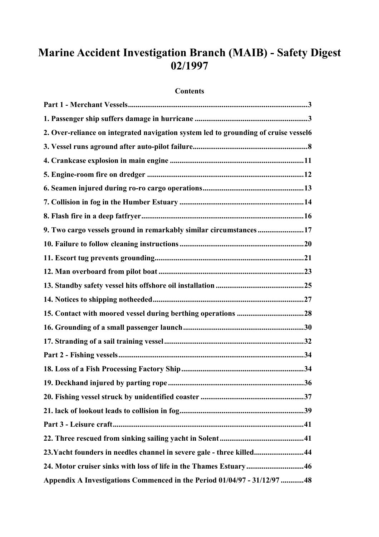# **Marine Accident Investigation Branch (MAIB) - Safety Digest 02/1997**

## **Contents**

| 2. Over-reliance on integrated navigation system led to grounding of cruise vessel6 |
|-------------------------------------------------------------------------------------|
|                                                                                     |
|                                                                                     |
|                                                                                     |
|                                                                                     |
|                                                                                     |
|                                                                                     |
| 9. Two cargo vessels ground in remarkably similar circumstances 17                  |
|                                                                                     |
|                                                                                     |
|                                                                                     |
|                                                                                     |
|                                                                                     |
|                                                                                     |
|                                                                                     |
|                                                                                     |
|                                                                                     |
|                                                                                     |
|                                                                                     |
|                                                                                     |
|                                                                                     |
|                                                                                     |
|                                                                                     |
|                                                                                     |
| 23. Yacht founders in needles channel in severe gale - three killed44               |
| 24. Motor cruiser sinks with loss of life in the Thames Estuary46                   |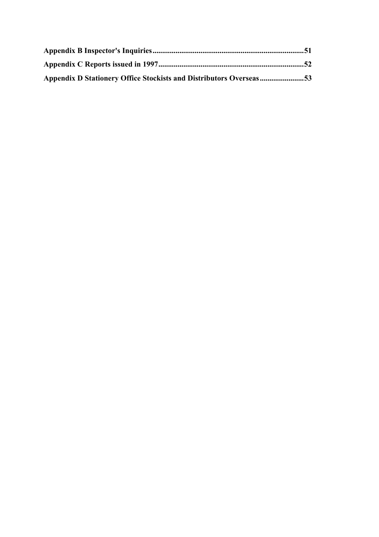| Appendix D Stationery Office Stockists and Distributors Overseas53 |  |
|--------------------------------------------------------------------|--|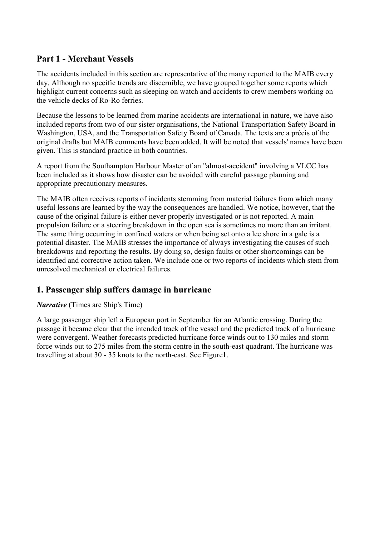## <span id="page-2-0"></span>**Part 1 - Merchant Vessels**

The accidents included in this section are representative of the many reported to the MAIB every day. Although no specific trends are discernible, we have grouped together some reports which highlight current concerns such as sleeping on watch and accidents to crew members working on the vehicle decks of Ro-Ro ferries.

Because the lessons to be learned from marine accidents are international in nature, we have also included reports from two of our sister organisations, the National Transportation Safety Board in Washington, USA, and the Transportation Safety Board of Canada. The texts are a précis of the original drafts but MAIB comments have been added. It will be noted that vessels' names have been given. This is standard practice in both countries.

A report from the Southampton Harbour Master of an "almost-accident" involving a VLCC has been included as it shows how disaster can be avoided with careful passage planning and appropriate precautionary measures.

The MAIB often receives reports of incidents stemming from material failures from which many useful lessons are learned by the way the consequences are handled. We notice, however, that the cause of the original failure is either never properly investigated or is not reported. A main propulsion failure or a steering breakdown in the open sea is sometimes no more than an irritant. The same thing occurring in confined waters or when being set onto a lee shore in a gale is a potential disaster. The MAIB stresses the importance of always investigating the causes of such breakdowns and reporting the results. By doing so, design faults or other shortcomings can be identified and corrective action taken. We include one or two reports of incidents which stem from unresolved mechanical or electrical failures.

## **1. Passenger ship suffers damage in hurricane**

## *Narrative* (Times are Ship's Time)

A large passenger ship left a European port in September for an Atlantic crossing. During the passage it became clear that the intended track of the vessel and the predicted track of a hurricane were convergent. Weather forecasts predicted hurricane force winds out to 130 miles and storm force winds out to 275 miles from the storm centre in the south-east quadrant. The hurricane was travelling at about 30 - 35 knots to the north-east. See Figure1.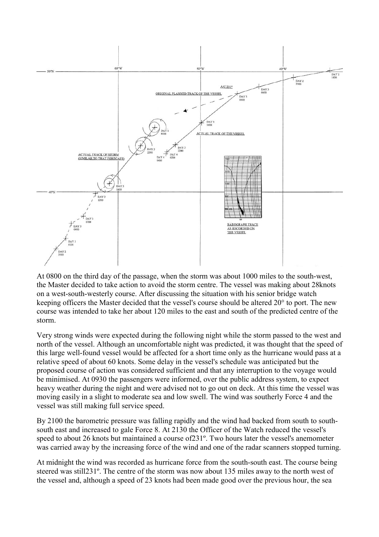

At 0800 on the third day of the passage, when the storm was about 1000 miles to the south-west, the Master decided to take action to avoid the storm centre. The vessel was making about 28knots on a west-south-westerly course. After discussing the situation with his senior bridge watch keeping officers the Master decided that the vessel's course should be altered 20° to port. The new course was intended to take her about 120 miles to the east and south of the predicted centre of the storm.

Very strong winds were expected during the following night while the storm passed to the west and north of the vessel. Although an uncomfortable night was predicted, it was thought that the speed of this large well-found vessel would be affected for a short time only as the hurricane would pass at a relative speed of about 60 knots. Some delay in the vessel's schedule was anticipated but the proposed course of action was considered sufficient and that any interruption to the voyage would be minimised. At 0930 the passengers were informed, over the public address system, to expect heavy weather during the night and were advised not to go out on deck. At this time the vessel was moving easily in a slight to moderate sea and low swell. The wind was southerly Force 4 and the vessel was still making full service speed.

By 2100 the barometric pressure was falling rapidly and the wind had backed from south to southsouth east and increased to gale Force 8. At 2130 the Officer of the Watch reduced the vessel's speed to about 26 knots but maintained a course of231º. Two hours later the vessel's anemometer was carried away by the increasing force of the wind and one of the radar scanners stopped turning.

At midnight the wind was recorded as hurricane force from the south-south east. The course being steered was still231º. The centre of the storm was now about 135 miles away to the north west of the vessel and, although a speed of 23 knots had been made good over the previous hour, the sea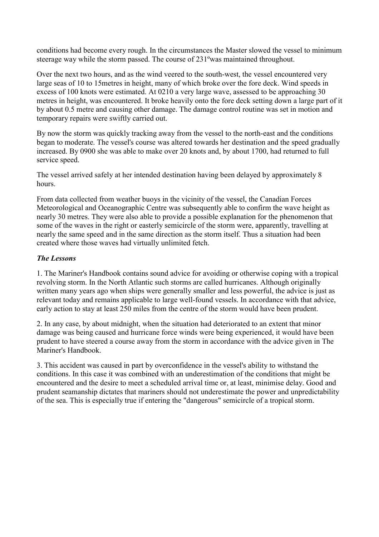conditions had become every rough. In the circumstances the Master slowed the vessel to minimum steerage way while the storm passed. The course of 231ºwas maintained throughout.

Over the next two hours, and as the wind veered to the south-west, the vessel encountered very large seas of 10 to 15metres in height, many of which broke over the fore deck. Wind speeds in excess of 100 knots were estimated. At 0210 a very large wave, assessed to be approaching 30 metres in height, was encountered. It broke heavily onto the fore deck setting down a large part of it by about 0.5 metre and causing other damage. The damage control routine was set in motion and temporary repairs were swiftly carried out.

By now the storm was quickly tracking away from the vessel to the north-east and the conditions began to moderate. The vessel's course was altered towards her destination and the speed gradually increased. By 0900 she was able to make over 20 knots and, by about 1700, had returned to full service speed.

The vessel arrived safely at her intended destination having been delayed by approximately 8 hours.

From data collected from weather buoys in the vicinity of the vessel, the Canadian Forces Meteorological and Oceanographic Centre was subsequently able to confirm the wave height as nearly 30 metres. They were also able to provide a possible explanation for the phenomenon that some of the waves in the right or easterly semicircle of the storm were, apparently, travelling at nearly the same speed and in the same direction as the storm itself. Thus a situation had been created where those waves had virtually unlimited fetch.

## *The Lessons*

1. The Mariner's Handbook contains sound advice for avoiding or otherwise coping with a tropical revolving storm. In the North Atlantic such storms are called hurricanes. Although originally written many years ago when ships were generally smaller and less powerful, the advice is just as relevant today and remains applicable to large well-found vessels. In accordance with that advice, early action to stay at least 250 miles from the centre of the storm would have been prudent.

2. In any case, by about midnight, when the situation had deteriorated to an extent that minor damage was being caused and hurricane force winds were being experienced, it would have been prudent to have steered a course away from the storm in accordance with the advice given in The Mariner's Handbook.

3. This accident was caused in part by overconfidence in the vessel's ability to withstand the conditions. In this case it was combined with an underestimation of the conditions that might be encountered and the desire to meet a scheduled arrival time or, at least, minimise delay. Good and prudent seamanship dictates that mariners should not underestimate the power and unpredictability of the sea. This is especially true if entering the "dangerous" semicircle of a tropical storm.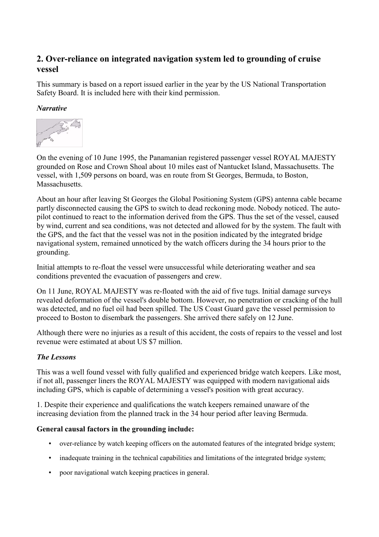## <span id="page-5-0"></span>**2. Over-reliance on integrated navigation system led to grounding of cruise vessel**

This summary is based on a report issued earlier in the year by the US National Transportation Safety Board. It is included here with their kind permission.

## *Narrative*



On the evening of 10 June 1995, the Panamanian registered passenger vessel ROYAL MAJESTY grounded on Rose and Crown Shoal about 10 miles east of Nantucket Island, Massachusetts. The vessel, with 1,509 persons on board, was en route from St Georges, Bermuda, to Boston, Massachusetts.

About an hour after leaving St Georges the Global Positioning System (GPS) antenna cable became partly disconnected causing the GPS to switch to dead reckoning mode. Nobody noticed. The autopilot continued to react to the information derived from the GPS. Thus the set of the vessel, caused by wind, current and sea conditions, was not detected and allowed for by the system. The fault with the GPS, and the fact that the vessel was not in the position indicated by the integrated bridge navigational system, remained unnoticed by the watch officers during the 34 hours prior to the grounding.

Initial attempts to re-float the vessel were unsuccessful while deteriorating weather and sea conditions prevented the evacuation of passengers and crew.

On 11 June, ROYAL MAJESTY was re-floated with the aid of five tugs. Initial damage surveys revealed deformation of the vessel's double bottom. However, no penetration or cracking of the hull was detected, and no fuel oil had been spilled. The US Coast Guard gave the vessel permission to proceed to Boston to disembark the passengers. She arrived there safely on 12 June.

Although there were no injuries as a result of this accident, the costs of repairs to the vessel and lost revenue were estimated at about US \$7 million.

## *The Lessons*

This was a well found vessel with fully qualified and experienced bridge watch keepers. Like most, if not all, passenger liners the ROYAL MAJESTY was equipped with modern navigational aids including GPS, which is capable of determining a vessel's position with great accuracy.

1. Despite their experience and qualifications the watch keepers remained unaware of the increasing deviation from the planned track in the 34 hour period after leaving Bermuda.

### **General causal factors in the grounding include:**

- over-reliance by watch keeping officers on the automated features of the integrated bridge system;
- inadequate training in the technical capabilities and limitations of the integrated bridge system;
- poor navigational watch keeping practices in general.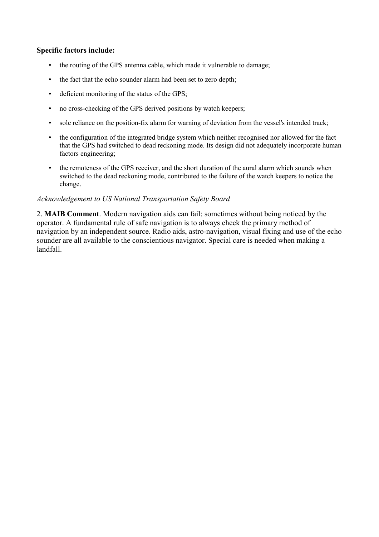#### **Specific factors include:**

- the routing of the GPS antenna cable, which made it vulnerable to damage;
- the fact that the echo sounder alarm had been set to zero depth;
- deficient monitoring of the status of the GPS;
- no cross-checking of the GPS derived positions by watch keepers;
- sole reliance on the position-fix alarm for warning of deviation from the vessel's intended track;
- the configuration of the integrated bridge system which neither recognised nor allowed for the fact that the GPS had switched to dead reckoning mode. Its design did not adequately incorporate human factors engineering;
- the remoteness of the GPS receiver, and the short duration of the aural alarm which sounds when switched to the dead reckoning mode, contributed to the failure of the watch keepers to notice the change.

#### *Acknowledgement to US National Transportation Safety Board*

2. **MAIB Comment**. Modern navigation aids can fail; sometimes without being noticed by the operator. A fundamental rule of safe navigation is to always check the primary method of navigation by an independent source. Radio aids, astro-navigation, visual fixing and use of the echo sounder are all available to the conscientious navigator. Special care is needed when making a landfall.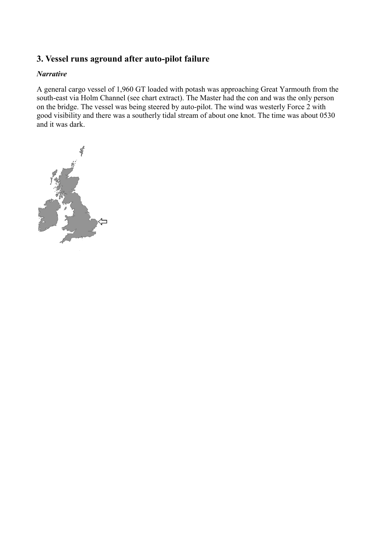## <span id="page-7-0"></span>**3. Vessel runs aground after auto-pilot failure**

### *Narrative*

A general cargo vessel of 1,960 GT loaded with potash was approaching Great Yarmouth from the south-east via Holm Channel (see chart extract). The Master had the con and was the only person on the bridge. The vessel was being steered by auto-pilot. The wind was westerly Force 2 with good visibility and there was a southerly tidal stream of about one knot. The time was about 0530 and it was dark.

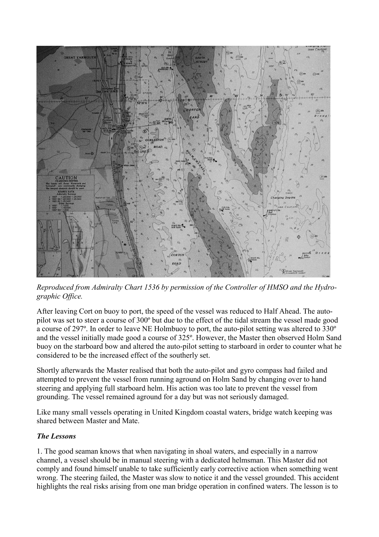

*Reproduced from Admiralty Chart 1536 by permission of the Controller of HMSO and the Hydrographic Office.*

After leaving Cort on buoy to port, the speed of the vessel was reduced to Half Ahead. The autopilot was set to steer a course of 300º but due to the effect of the tidal stream the vessel made good a course of 297º. In order to leave NE Holmbuoy to port, the auto-pilot setting was altered to 330º and the vessel initially made good a course of 325º. However, the Master then observed Holm Sand buoy on the starboard bow and altered the auto-pilot setting to starboard in order to counter what he considered to be the increased effect of the southerly set.

Shortly afterwards the Master realised that both the auto-pilot and gyro compass had failed and attempted to prevent the vessel from running aground on Holm Sand by changing over to hand steering and applying full starboard helm. His action was too late to prevent the vessel from grounding. The vessel remained aground for a day but was not seriously damaged.

Like many small vessels operating in United Kingdom coastal waters, bridge watch keeping was shared between Master and Mate.

## *The Lessons*

1. The good seaman knows that when navigating in shoal waters, and especially in a narrow channel, a vessel should be in manual steering with a dedicated helmsman. This Master did not comply and found himself unable to take sufficiently early corrective action when something went wrong. The steering failed, the Master was slow to notice it and the vessel grounded. This accident highlights the real risks arising from one man bridge operation in confined waters. The lesson is to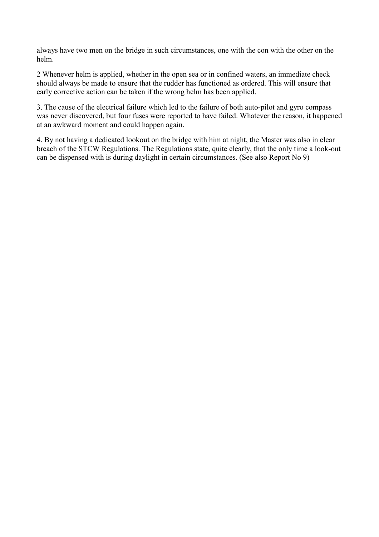always have two men on the bridge in such circumstances, one with the con with the other on the helm.

2 Whenever helm is applied, whether in the open sea or in confined waters, an immediate check should always be made to ensure that the rudder has functioned as ordered. This will ensure that early corrective action can be taken if the wrong helm has been applied.

3. The cause of the electrical failure which led to the failure of both auto-pilot and gyro compass was never discovered, but four fuses were reported to have failed. Whatever the reason, it happened at an awkward moment and could happen again.

4. By not having a dedicated lookout on the bridge with him at night, the Master was also in clear breach of the STCW Regulations. The Regulations state, quite clearly, that the only time a look-out can be dispensed with is during daylight in certain circumstances. (See also Report No 9)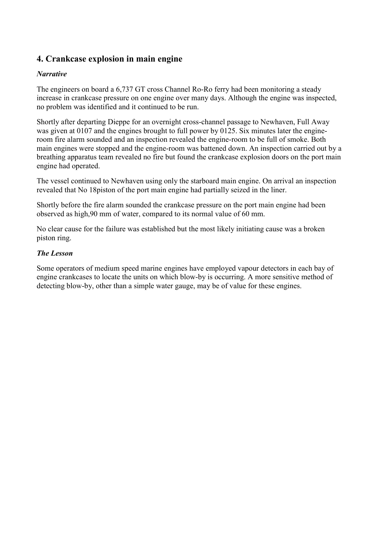## <span id="page-10-0"></span>**4. Crankcase explosion in main engine**

## *Narrative*

The engineers on board a 6,737 GT cross Channel Ro-Ro ferry had been monitoring a steady increase in crankcase pressure on one engine over many days. Although the engine was inspected, no problem was identified and it continued to be run.

Shortly after departing Dieppe for an overnight cross-channel passage to Newhaven, Full Away was given at 0107 and the engines brought to full power by 0125. Six minutes later the engineroom fire alarm sounded and an inspection revealed the engine-room to be full of smoke. Both main engines were stopped and the engine-room was battened down. An inspection carried out by a breathing apparatus team revealed no fire but found the crankcase explosion doors on the port main engine had operated.

The vessel continued to Newhaven using only the starboard main engine. On arrival an inspection revealed that No 18piston of the port main engine had partially seized in the liner.

Shortly before the fire alarm sounded the crankcase pressure on the port main engine had been observed as high,90 mm of water, compared to its normal value of 60 mm.

No clear cause for the failure was established but the most likely initiating cause was a broken piston ring.

## *The Lesson*

Some operators of medium speed marine engines have employed vapour detectors in each bay of engine crankcases to locate the units on which blow-by is occurring. A more sensitive method of detecting blow-by, other than a simple water gauge, may be of value for these engines.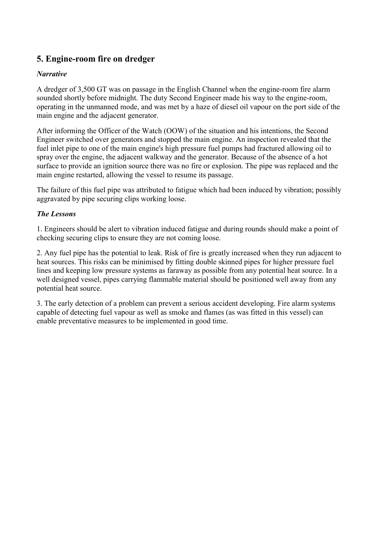## <span id="page-11-0"></span>**5. Engine-room fire on dredger**

## *Narrative*

A dredger of 3,500 GT was on passage in the English Channel when the engine-room fire alarm sounded shortly before midnight. The duty Second Engineer made his way to the engine-room, operating in the unmanned mode, and was met by a haze of diesel oil vapour on the port side of the main engine and the adjacent generator.

After informing the Officer of the Watch (OOW) of the situation and his intentions, the Second Engineer switched over generators and stopped the main engine. An inspection revealed that the fuel inlet pipe to one of the main engine's high pressure fuel pumps had fractured allowing oil to spray over the engine, the adjacent walkway and the generator. Because of the absence of a hot surface to provide an ignition source there was no fire or explosion. The pipe was replaced and the main engine restarted, allowing the vessel to resume its passage.

The failure of this fuel pipe was attributed to fatigue which had been induced by vibration; possibly aggravated by pipe securing clips working loose.

## *The Lessons*

1. Engineers should be alert to vibration induced fatigue and during rounds should make a point of checking securing clips to ensure they are not coming loose.

2. Any fuel pipe has the potential to leak. Risk of fire is greatly increased when they run adjacent to heat sources. This risks can be minimised by fitting double skinned pipes for higher pressure fuel lines and keeping low pressure systems as faraway as possible from any potential heat source. In a well designed vessel, pipes carrying flammable material should be positioned well away from any potential heat source.

3. The early detection of a problem can prevent a serious accident developing. Fire alarm systems capable of detecting fuel vapour as well as smoke and flames (as was fitted in this vessel) can enable preventative measures to be implemented in good time.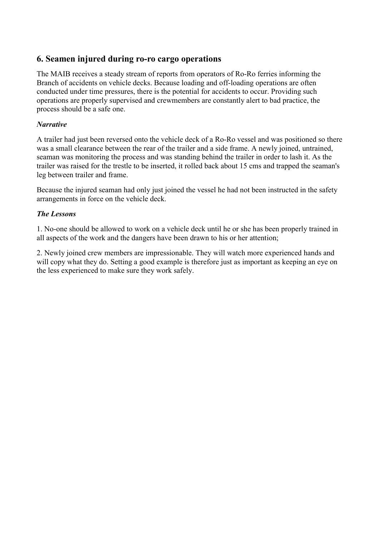## <span id="page-12-0"></span>**6. Seamen injured during ro-ro cargo operations**

The MAIB receives a steady stream of reports from operators of Ro-Ro ferries informing the Branch of accidents on vehicle decks. Because loading and off-loading operations are often conducted under time pressures, there is the potential for accidents to occur. Providing such operations are properly supervised and crewmembers are constantly alert to bad practice, the process should be a safe one.

### *Narrative*

A trailer had just been reversed onto the vehicle deck of a Ro-Ro vessel and was positioned so there was a small clearance between the rear of the trailer and a side frame. A newly joined, untrained, seaman was monitoring the process and was standing behind the trailer in order to lash it. As the trailer was raised for the trestle to be inserted, it rolled back about 15 cms and trapped the seaman's leg between trailer and frame.

Because the injured seaman had only just joined the vessel he had not been instructed in the safety arrangements in force on the vehicle deck.

## *The Lessons*

1. No-one should be allowed to work on a vehicle deck until he or she has been properly trained in all aspects of the work and the dangers have been drawn to his or her attention;

2. Newly joined crew members are impressionable. They will watch more experienced hands and will copy what they do. Setting a good example is therefore just as important as keeping an eye on the less experienced to make sure they work safely.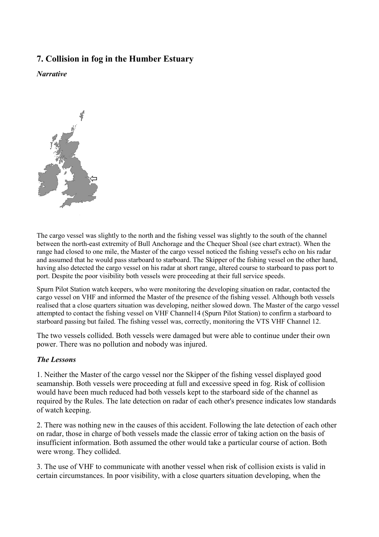## <span id="page-13-0"></span>**7. Collision in fog in the Humber Estuary**

*Narrative* 



The cargo vessel was slightly to the north and the fishing vessel was slightly to the south of the channel between the north-east extremity of Bull Anchorage and the Chequer Shoal (see chart extract). When the range had closed to one mile, the Master of the cargo vessel noticed the fishing vessel's echo on his radar and assumed that he would pass starboard to starboard. The Skipper of the fishing vessel on the other hand, having also detected the cargo vessel on his radar at short range, altered course to starboard to pass port to port. Despite the poor visibility both vessels were proceeding at their full service speeds.

Spurn Pilot Station watch keepers, who were monitoring the developing situation on radar, contacted the cargo vessel on VHF and informed the Master of the presence of the fishing vessel. Although both vessels realised that a close quarters situation was developing, neither slowed down. The Master of the cargo vessel attempted to contact the fishing vessel on VHF Channel14 (Spurn Pilot Station) to confirm a starboard to starboard passing but failed. The fishing vessel was, correctly, monitoring the VTS VHF Channel 12.

The two vessels collided. Both vessels were damaged but were able to continue under their own power. There was no pollution and nobody was injured.

#### *The Lessons*

1. Neither the Master of the cargo vessel nor the Skipper of the fishing vessel displayed good seamanship. Both vessels were proceeding at full and excessive speed in fog. Risk of collision would have been much reduced had both vessels kept to the starboard side of the channel as required by the Rules. The late detection on radar of each other's presence indicates low standards of watch keeping.

2. There was nothing new in the causes of this accident. Following the late detection of each other on radar, those in charge of both vessels made the classic error of taking action on the basis of insufficient information. Both assumed the other would take a particular course of action. Both were wrong. They collided.

3. The use of VHF to communicate with another vessel when risk of collision exists is valid in certain circumstances. In poor visibility, with a close quarters situation developing, when the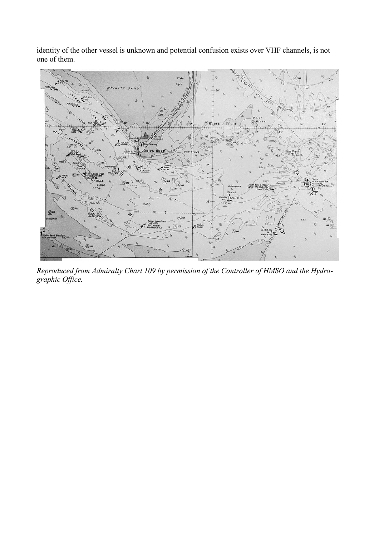identity of the other vessel is unknown and potential confusion exists over VHF channels, is not one of them.



*Reproduced from Admiralty Chart 109 by permission of the Controller of HMSO and the Hydrographic Office.*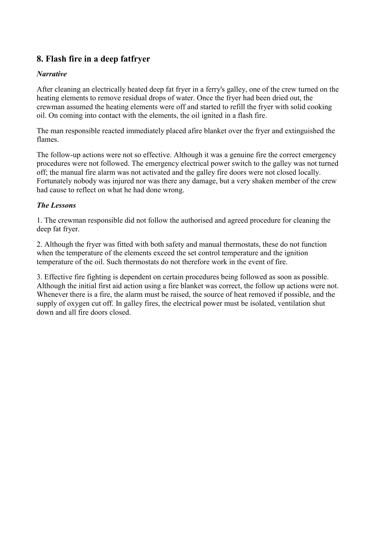## <span id="page-15-0"></span>**8. Flash fire in a deep fatfryer**

### *Narrative*

After cleaning an electrically heated deep fat fryer in a ferry's galley, one of the crew turned on the heating elements to remove residual drops of water. Once the fryer had been dried out, the crewman assumed the heating elements were off and started to refill the fryer with solid cooking oil. On coming into contact with the elements, the oil ignited in a flash fire.

The man responsible reacted immediately placed afire blanket over the fryer and extinguished the flames.

The follow-up actions were not so effective. Although it was a genuine fire the correct emergency procedures were not followed. The emergency electrical power switch to the galley was not turned off; the manual fire alarm was not activated and the galley fire doors were not closed locally. Fortunately nobody was injured nor was there any damage, but a very shaken member of the crew had cause to reflect on what he had done wrong.

## *The Lessons*

1. The crewman responsible did not follow the authorised and agreed procedure for cleaning the deep fat fryer.

2. Although the fryer was fitted with both safety and manual thermostats, these do not function when the temperature of the elements exceed the set control temperature and the ignition temperature of the oil. Such thermostats do not therefore work in the event of fire.

3. Effective fire fighting is dependent on certain procedures being followed as soon as possible. Although the initial first aid action using a fire blanket was correct, the follow up actions were not. Whenever there is a fire, the alarm must be raised, the source of heat removed if possible, and the supply of oxygen cut off. In galley fires, the electrical power must be isolated, ventilation shut down and all fire doors closed.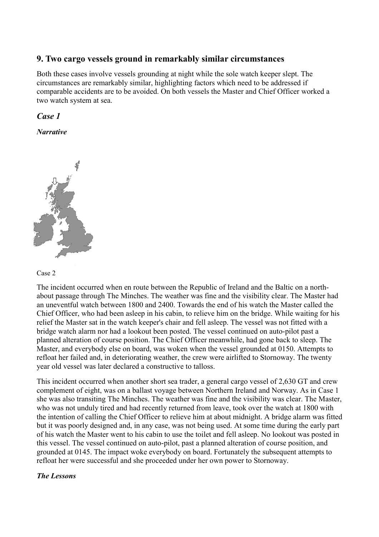## <span id="page-16-0"></span>**9. Two cargo vessels ground in remarkably similar circumstances**

Both these cases involve vessels grounding at night while the sole watch keeper slept. The circumstances are remarkably similar, highlighting factors which need to be addressed if comparable accidents are to be avoided. On both vessels the Master and Chief Officer worked a two watch system at sea.

## *Case 1*

*Narrative* 





The incident occurred when en route between the Republic of Ireland and the Baltic on a northabout passage through The Minches. The weather was fine and the visibility clear. The Master had an uneventful watch between 1800 and 2400. Towards the end of his watch the Master called the Chief Officer, who had been asleep in his cabin, to relieve him on the bridge. While waiting for his relief the Master sat in the watch keeper's chair and fell asleep. The vessel was not fitted with a bridge watch alarm nor had a lookout been posted. The vessel continued on auto-pilot past a planned alteration of course position. The Chief Officer meanwhile, had gone back to sleep. The Master, and everybody else on board, was woken when the vessel grounded at 0150. Attempts to refloat her failed and, in deteriorating weather, the crew were airlifted to Stornoway. The twenty year old vessel was later declared a constructive to talloss.

This incident occurred when another short sea trader, a general cargo vessel of 2,630 GT and crew complement of eight, was on a ballast voyage between Northern Ireland and Norway. As in Case 1 she was also transiting The Minches. The weather was fine and the visibility was clear. The Master, who was not unduly tired and had recently returned from leave, took over the watch at 1800 with the intention of calling the Chief Officer to relieve him at about midnight. A bridge alarm was fitted but it was poorly designed and, in any case, was not being used. At some time during the early part of his watch the Master went to his cabin to use the toilet and fell asleep. No lookout was posted in this vessel. The vessel continued on auto-pilot, past a planned alteration of course position, and grounded at 0145. The impact woke everybody on board. Fortunately the subsequent attempts to refloat her were successful and she proceeded under her own power to Stornoway.

### *The Lessons*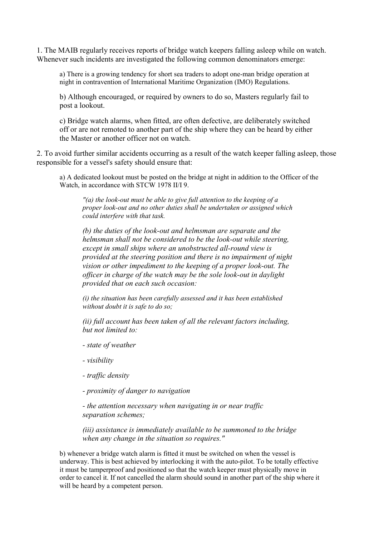1. The MAIB regularly receives reports of bridge watch keepers falling asleep while on watch. Whenever such incidents are investigated the following common denominators emerge:

a) There is a growing tendency for short sea traders to adopt one-man bridge operation at night in contravention of International Maritime Organization (IMO) Regulations.

b) Although encouraged, or required by owners to do so, Masters regularly fail to post a lookout.

c) Bridge watch alarms, when fitted, are often defective, are deliberately switched off or are not remoted to another part of the ship where they can be heard by either the Master or another officer not on watch.

2. To avoid further similar accidents occurring as a result of the watch keeper falling asleep, those responsible for a vessel's safety should ensure that:

a) A dedicated lookout must be posted on the bridge at night in addition to the Officer of the Watch, in accordance with STCW 1978 II/I 9.

*"(a) the look-out must be able to give full attention to the keeping of a proper look-out and no other duties shall be undertaken or assigned which could interfere with that task.*

*(b) the duties of the look-out and helmsman are separate and the helmsman shall not be considered to be the look-out while steering, except in small ships where an unobstructed all-round view is provided at the steering position and there is no impairment of night vision or other impediment to the keeping of a proper look-out. The officer in charge of the watch may be the sole look-out in daylight provided that on each such occasion:*

*(i) the situation has been carefully assessed and it has been established without doubt it is safe to do so;*

*(ii) full account has been taken of all the relevant factors including, but not limited to:*

- *state of weather*
- *visibility*
- *traffic density*
- *proximity of danger to navigation*

*- the attention necessary when navigating in or near traffic separation schemes;*

*(iii) assistance is immediately available to be summoned to the bridge when any change in the situation so requires."*

b) whenever a bridge watch alarm is fitted it must be switched on when the vessel is underway. This is best achieved by interlocking it with the auto-pilot. To be totally effective it must be tamperproof and positioned so that the watch keeper must physically move in order to cancel it. If not cancelled the alarm should sound in another part of the ship where it will be heard by a competent person.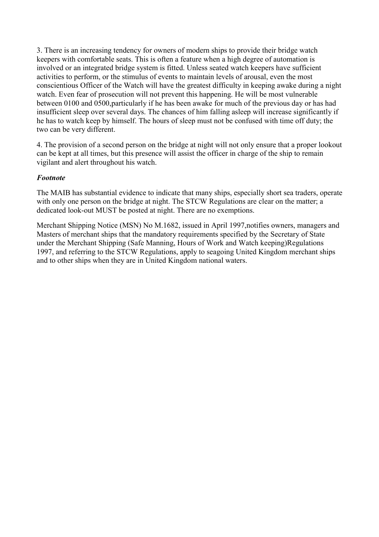3. There is an increasing tendency for owners of modern ships to provide their bridge watch keepers with comfortable seats. This is often a feature when a high degree of automation is involved or an integrated bridge system is fitted. Unless seated watch keepers have sufficient activities to perform, or the stimulus of events to maintain levels of arousal, even the most conscientious Officer of the Watch will have the greatest difficulty in keeping awake during a night watch. Even fear of prosecution will not prevent this happening. He will be most vulnerable between 0100 and 0500,particularly if he has been awake for much of the previous day or has had insufficient sleep over several days. The chances of him falling asleep will increase significantly if he has to watch keep by himself. The hours of sleep must not be confused with time off duty; the two can be very different.

4. The provision of a second person on the bridge at night will not only ensure that a proper lookout can be kept at all times, but this presence will assist the officer in charge of the ship to remain vigilant and alert throughout his watch.

### *Footnote*

The MAIB has substantial evidence to indicate that many ships, especially short sea traders, operate with only one person on the bridge at night. The STCW Regulations are clear on the matter; a dedicated look-out MUST be posted at night. There are no exemptions.

Merchant Shipping Notice (MSN) No M.1682, issued in April 1997,notifies owners, managers and Masters of merchant ships that the mandatory requirements specified by the Secretary of State under the Merchant Shipping (Safe Manning, Hours of Work and Watch keeping)Regulations 1997, and referring to the STCW Regulations, apply to seagoing United Kingdom merchant ships and to other ships when they are in United Kingdom national waters.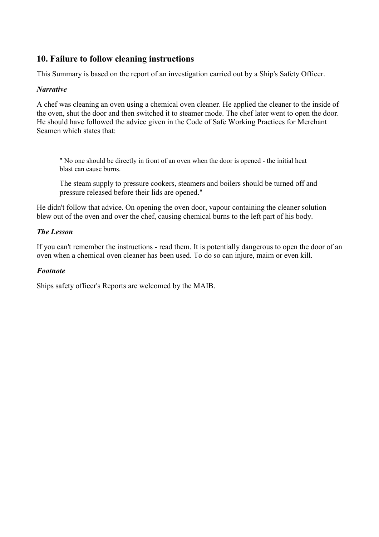## <span id="page-19-0"></span>**10. Failure to follow cleaning instructions**

This Summary is based on the report of an investigation carried out by a Ship's Safety Officer.

### *Narrative*

A chef was cleaning an oven using a chemical oven cleaner. He applied the cleaner to the inside of the oven, shut the door and then switched it to steamer mode. The chef later went to open the door. He should have followed the advice given in the Code of Safe Working Practices for Merchant Seamen which states that:

" No one should be directly in front of an oven when the door is opened - the initial heat blast can cause burns.

The steam supply to pressure cookers, steamers and boilers should be turned off and pressure released before their lids are opened."

He didn't follow that advice. On opening the oven door, vapour containing the cleaner solution blew out of the oven and over the chef, causing chemical burns to the left part of his body.

#### *The Lesson*

If you can't remember the instructions - read them. It is potentially dangerous to open the door of an oven when a chemical oven cleaner has been used. To do so can injure, maim or even kill.

#### *Footnote*

Ships safety officer's Reports are welcomed by the MAIB.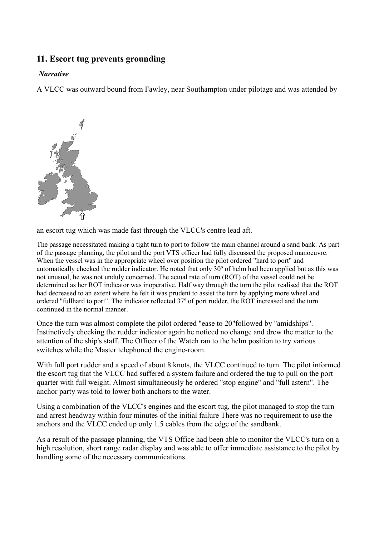## <span id="page-20-0"></span>**11. Escort tug prevents grounding**

### *Narrative*

A VLCC was outward bound from Fawley, near Southampton under pilotage and was attended by



an escort tug which was made fast through the VLCC's centre lead aft.

The passage necessitated making a tight turn to port to follow the main channel around a sand bank. As part of the passage planning, the pilot and the port VTS officer had fully discussed the proposed manoeuvre. When the vessel was in the appropriate wheel over position the pilot ordered "hard to port" and automatically checked the rudder indicator. He noted that only 30º of helm had been applied but as this was not unusual, he was not unduly concerned. The actual rate of turn (ROT) of the vessel could not be determined as her ROT indicator was inoperative. Half way through the turn the pilot realised that the ROT had decreased to an extent where he felt it was prudent to assist the turn by applying more wheel and ordered "fullhard to port". The indicator reflected 37º of port rudder, the ROT increased and the turn continued in the normal manner.

Once the turn was almost complete the pilot ordered "ease to 20"followed by "amidships". Instinctively checking the rudder indicator again he noticed no change and drew the matter to the attention of the ship's staff. The Officer of the Watch ran to the helm position to try various switches while the Master telephoned the engine-room.

With full port rudder and a speed of about 8 knots, the VLCC continued to turn. The pilot informed the escort tug that the VLCC had suffered a system failure and ordered the tug to pull on the port quarter with full weight. Almost simultaneously he ordered "stop engine" and "full astern". The anchor party was told to lower both anchors to the water.

Using a combination of the VLCC's engines and the escort tug, the pilot managed to stop the turn and arrest headway within four minutes of the initial failure There was no requirement to use the anchors and the VLCC ended up only 1.5 cables from the edge of the sandbank.

As a result of the passage planning, the VTS Office had been able to monitor the VLCC's turn on a high resolution, short range radar display and was able to offer immediate assistance to the pilot by handling some of the necessary communications.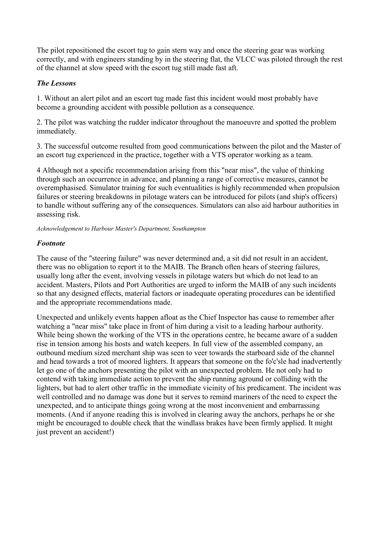The pilot repositioned the escort tug to gain stern way and once the steering gear was working correctly, and with engineers standing by in the steering flat, the VLCC was piloted through the rest of the channel at slow speed with the escort tug still made fast aft.

## *The Lessons*

1. Without an alert pilot and an escort tug made fast this incident would most probably have become a grounding accident with possible pollution as a consequence.

2. The pilot was watching the rudder indicator throughout the manoeuvre and spotted the problem immediately.

3. The successful outcome resulted from good communications between the pilot and the Master of an escort tug experienced in the practice, together with a VTS operator working as a team.

4 Although not a specific recommendation arising from this "near miss", the value of thinking through such an occurrence in advance, and planning a range of corrective measures, cannot be overemphasised. Simulator training for such eventualities is highly recommended when propulsion failures or steering breakdowns in pilotage waters can be introduced for pilots (and ship's officers) to handle without suffering any of the consequences. Simulators can also aid harbour authorities in assessing risk.

*Acknowledgement to Harbour Master's Department, Southampton*

### *Footnote*

The cause of the "steering failure" was never determined and, a sit did not result in an accident, there was no obligation to report it to the MAIB. The Branch often hears of steering failures, usually long after the event, involving vessels in pilotage waters but which do not lead to an accident. Masters, Pilots and Port Authorities are urged to inform the MAIB of any such incidents so that any designed effects, material factors or inadequate operating procedures can be identified and the appropriate recommendations made.

Unexpected and unlikely events happen afloat as the Chief Inspector has cause to remember after watching a "near miss" take place in front of him during a visit to a leading harbour authority. While being shown the working of the VTS in the operations centre, he became aware of a sudden rise in tension among his hosts and watch keepers. In full view of the assembled company, an outbound medium sized merchant ship was seen to veer towards the starboard side of the channel and head towards a trot of moored lighters. It appears that someone on the fo'c'sle had inadvertently let go one of the anchors presenting the pilot with an unexpected problem. He not only had to contend with taking immediate action to prevent the ship running aground or colliding with the lighters, but had to alert other traffic in the immediate vicinity of his predicament. The incident was well controlled and no damage was done but it serves to remind mariners of the need to expect the unexpected, and to anticipate things going wrong at the most inconvenient and embarrassing moments. (And if anyone reading this is involved in clearing away the anchors, perhaps he or she might be encouraged to double check that the windlass brakes have been firmly applied. It might just prevent an accident!)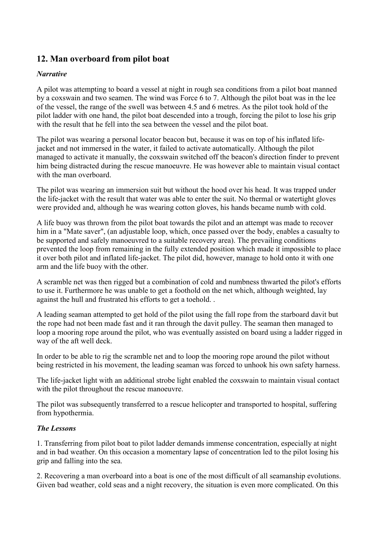## <span id="page-22-0"></span>**12. Man overboard from pilot boat**

### *Narrative*

A pilot was attempting to board a vessel at night in rough sea conditions from a pilot boat manned by a coxswain and two seamen. The wind was Force 6 to 7. Although the pilot boat was in the lee of the vessel, the range of the swell was between 4.5 and 6 metres. As the pilot took hold of the pilot ladder with one hand, the pilot boat descended into a trough, forcing the pilot to lose his grip with the result that he fell into the sea between the vessel and the pilot boat.

The pilot was wearing a personal locator beacon but, because it was on top of his inflated lifejacket and not immersed in the water, it failed to activate automatically. Although the pilot managed to activate it manually, the coxswain switched off the beacon's direction finder to prevent him being distracted during the rescue manoeuvre. He was however able to maintain visual contact with the man overboard.

The pilot was wearing an immersion suit but without the hood over his head. It was trapped under the life-jacket with the result that water was able to enter the suit. No thermal or watertight gloves were provided and, although he was wearing cotton gloves, his hands became numb with cold.

A life buoy was thrown from the pilot boat towards the pilot and an attempt was made to recover him in a "Mate saver", (an adjustable loop, which, once passed over the body, enables a casualty to be supported and safely manoeuvred to a suitable recovery area). The prevailing conditions prevented the loop from remaining in the fully extended position which made it impossible to place it over both pilot and inflated life-jacket. The pilot did, however, manage to hold onto it with one arm and the life buoy with the other.

A scramble net was then rigged but a combination of cold and numbness thwarted the pilot's efforts to use it. Furthermore he was unable to get a foothold on the net which, although weighted, lay against the hull and frustrated his efforts to get a toehold. .

A leading seaman attempted to get hold of the pilot using the fall rope from the starboard davit but the rope had not been made fast and it ran through the davit pulley. The seaman then managed to loop a mooring rope around the pilot, who was eventually assisted on board using a ladder rigged in way of the aft well deck.

In order to be able to rig the scramble net and to loop the mooring rope around the pilot without being restricted in his movement, the leading seaman was forced to unhook his own safety harness.

The life-jacket light with an additional strobe light enabled the coxswain to maintain visual contact with the pilot throughout the rescue manoeuvre.

The pilot was subsequently transferred to a rescue helicopter and transported to hospital, suffering from hypothermia.

### *The Lessons*

1. Transferring from pilot boat to pilot ladder demands immense concentration, especially at night and in bad weather. On this occasion a momentary lapse of concentration led to the pilot losing his grip and falling into the sea.

2. Recovering a man overboard into a boat is one of the most difficult of all seamanship evolutions. Given bad weather, cold seas and a night recovery, the situation is even more complicated. On this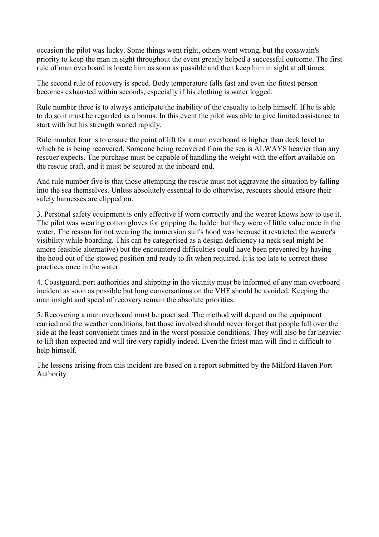occasion the pilot was lucky. Some things went right, others went wrong, but the coxswain's priority to keep the man in sight throughout the event greatly helped a successful outcome. The first rule of man overboard is locate him as soon as possible and then keep him in sight at all times.

The second rule of recovery is speed. Body temperature falls fast and even the fittest person becomes exhausted within seconds, especially if his clothing is water logged.

Rule number three is to always anticipate the inability of the casualty to help himself. If he is able to do so it must be regarded as a bonus. In this event the pilot was able to give limited assistance to start with but his strength waned rapidly.

Rule number four is to ensure the point of lift for a man overboard is higher than deck level to which he is being recovered. Someone being recovered from the sea is ALWAYS heavier than any rescuer expects. The purchase must be capable of handling the weight with the effort available on the rescue craft, and it must be secured at the inboard end.

And rule number five is that those attempting the rescue must not aggravate the situation by falling into the sea themselves. Unless absolutely essential to do otherwise, rescuers should ensure their safety harnesses are clipped on.

3. Personal safety equipment is only effective if worn correctly and the wearer knows how to use it. The pilot was wearing cotton gloves for gripping the ladder but they were of little value once in the water. The reason for not wearing the immersion suit's hood was because it restricted the wearer's visibility while boarding. This can be categorised as a design deficiency (a neck seal might be amore feasible alternative) but the encountered difficulties could have been prevented by having the hood out of the stowed position and ready to fit when required. It is too late to correct these practices once in the water.

4. Coastguard, port authorities and shipping in the vicinity must be informed of any man overboard incident as soon as possible but long conversations on the VHF should be avoided. Keeping the man insight and speed of recovery remain the absolute priorities.

5. Recovering a man overboard must be practised. The method will depend on the equipment carried and the weather conditions, but those involved should never forget that people fall over the side at the least convenient times and in the worst possible conditions. They will also be far heavier to lift than expected and will tire very rapidly indeed. Even the fittest man will find it difficult to help himself.

The lessons arising from this incident are based on a report submitted by the Milford Haven Port Authority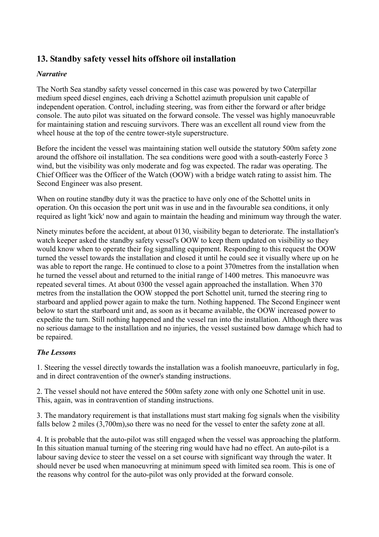## <span id="page-24-0"></span>**13. Standby safety vessel hits offshore oil installation**

### *Narrative*

The North Sea standby safety vessel concerned in this case was powered by two Caterpillar medium speed diesel engines, each driving a Schottel azimuth propulsion unit capable of independent operation. Control, including steering, was from either the forward or after bridge console. The auto pilot was situated on the forward console. The vessel was highly manoeuvrable for maintaining station and rescuing survivors. There was an excellent all round view from the wheel house at the top of the centre tower-style superstructure.

Before the incident the vessel was maintaining station well outside the statutory 500m safety zone around the offshore oil installation. The sea conditions were good with a south-easterly Force 3 wind, but the visibility was only moderate and fog was expected. The radar was operating. The Chief Officer was the Officer of the Watch (OOW) with a bridge watch rating to assist him. The Second Engineer was also present.

When on routine standby duty it was the practice to have only one of the Schottel units in operation. On this occasion the port unit was in use and in the favourable sea conditions, it only required as light 'kick' now and again to maintain the heading and minimum way through the water.

Ninety minutes before the accident, at about 0130, visibility began to deteriorate. The installation's watch keeper asked the standby safety vessel's OOW to keep them updated on visibility so they would know when to operate their fog signalling equipment. Responding to this request the OOW turned the vessel towards the installation and closed it until he could see it visually where up on he was able to report the range. He continued to close to a point 370metres from the installation when he turned the vessel about and returned to the initial range of 1400 metres. This manoeuvre was repeated several times. At about 0300 the vessel again approached the installation. When 370 metres from the installation the OOW stopped the port Schottel unit, turned the steering ring to starboard and applied power again to make the turn. Nothing happened. The Second Engineer went below to start the starboard unit and, as soon as it became available, the OOW increased power to expedite the turn. Still nothing happened and the vessel ran into the installation. Although there was no serious damage to the installation and no injuries, the vessel sustained bow damage which had to be repaired.

## *The Lessons*

1. Steering the vessel directly towards the installation was a foolish manoeuvre, particularly in fog, and in direct contravention of the owner's standing instructions.

2. The vessel should not have entered the 500m safety zone with only one Schottel unit in use. This, again, was in contravention of standing instructions.

3. The mandatory requirement is that installations must start making fog signals when the visibility falls below 2 miles (3,700m), so there was no need for the vessel to enter the safety zone at all.

4. It is probable that the auto-pilot was still engaged when the vessel was approaching the platform. In this situation manual turning of the steering ring would have had no effect. An auto-pilot is a labour saving device to steer the vessel on a set course with significant way through the water. It should never be used when manoeuvring at minimum speed with limited sea room. This is one of the reasons why control for the auto-pilot was only provided at the forward console.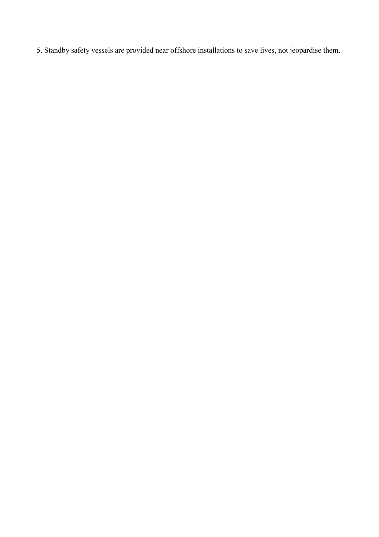5. Standby safety vessels are provided near offshore installations to save lives, not jeopardise them.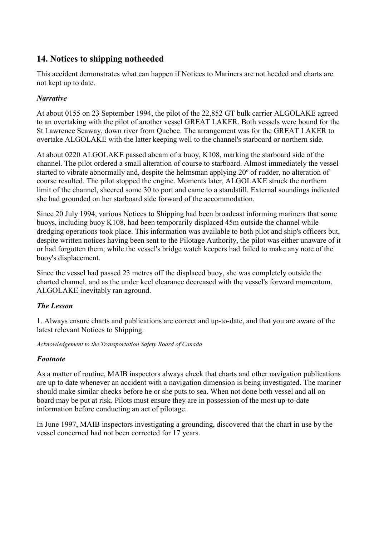## <span id="page-26-0"></span>**14. Notices to shipping notheeded**

This accident demonstrates what can happen if Notices to Mariners are not heeded and charts are not kept up to date.

## *Narrative*

At about 0155 on 23 September 1994, the pilot of the 22,852 GT bulk carrier ALGOLAKE agreed to an overtaking with the pilot of another vessel GREAT LAKER. Both vessels were bound for the St Lawrence Seaway, down river from Quebec. The arrangement was for the GREAT LAKER to overtake ALGOLAKE with the latter keeping well to the channel's starboard or northern side.

At about 0220 ALGOLAKE passed abeam of a buoy, K108, marking the starboard side of the channel. The pilot ordered a small alteration of course to starboard. Almost immediately the vessel started to vibrate abnormally and, despite the helmsman applying 20º of rudder, no alteration of course resulted. The pilot stopped the engine. Moments later, ALGOLAKE struck the northern limit of the channel, sheered some 30 to port and came to a standstill. External soundings indicated she had grounded on her starboard side forward of the accommodation.

Since 20 July 1994, various Notices to Shipping had been broadcast informing mariners that some buoys, including buoy K108, had been temporarily displaced 45m outside the channel while dredging operations took place. This information was available to both pilot and ship's officers but, despite written notices having been sent to the Pilotage Authority, the pilot was either unaware of it or had forgotten them; while the vessel's bridge watch keepers had failed to make any note of the buoy's displacement.

Since the vessel had passed 23 metres off the displaced buoy, she was completely outside the charted channel, and as the under keel clearance decreased with the vessel's forward momentum, ALGOLAKE inevitably ran aground.

### *The Lesson*

1. Always ensure charts and publications are correct and up-to-date, and that you are aware of the latest relevant Notices to Shipping.

*Acknowledgement to the Transportation Safety Board of Canada*

### *Footnote*

As a matter of routine, MAIB inspectors always check that charts and other navigation publications are up to date whenever an accident with a navigation dimension is being investigated. The mariner should make similar checks before he or she puts to sea. When not done both vessel and all on board may be put at risk. Pilots must ensure they are in possession of the most up-to-date information before conducting an act of pilotage.

In June 1997, MAIB inspectors investigating a grounding, discovered that the chart in use by the vessel concerned had not been corrected for 17 years.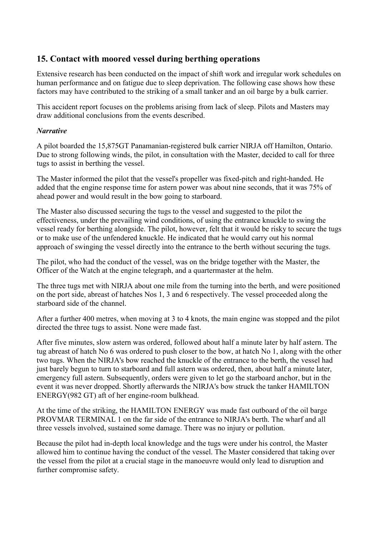## <span id="page-27-0"></span>**15. Contact with moored vessel during berthing operations**

Extensive research has been conducted on the impact of shift work and irregular work schedules on human performance and on fatigue due to sleep deprivation. The following case shows how these factors may have contributed to the striking of a small tanker and an oil barge by a bulk carrier.

This accident report focuses on the problems arising from lack of sleep. Pilots and Masters may draw additional conclusions from the events described.

#### *Narrative*

A pilot boarded the 15,875GT Panamanian-registered bulk carrier NIRJA off Hamilton, Ontario. Due to strong following winds, the pilot, in consultation with the Master, decided to call for three tugs to assist in berthing the vessel.

The Master informed the pilot that the vessel's propeller was fixed-pitch and right-handed. He added that the engine response time for astern power was about nine seconds, that it was 75% of ahead power and would result in the bow going to starboard.

The Master also discussed securing the tugs to the vessel and suggested to the pilot the effectiveness, under the prevailing wind conditions, of using the entrance knuckle to swing the vessel ready for berthing alongside. The pilot, however, felt that it would be risky to secure the tugs or to make use of the unfendered knuckle. He indicated that he would carry out his normal approach of swinging the vessel directly into the entrance to the berth without securing the tugs.

The pilot, who had the conduct of the vessel, was on the bridge together with the Master, the Officer of the Watch at the engine telegraph, and a quartermaster at the helm.

The three tugs met with NIRJA about one mile from the turning into the berth, and were positioned on the port side, abreast of hatches Nos 1, 3 and 6 respectively. The vessel proceeded along the starboard side of the channel.

After a further 400 metres, when moving at 3 to 4 knots, the main engine was stopped and the pilot directed the three tugs to assist. None were made fast.

After five minutes, slow astern was ordered, followed about half a minute later by half astern. The tug abreast of hatch No 6 was ordered to push closer to the bow, at hatch No 1, along with the other two tugs. When the NIRJA's bow reached the knuckle of the entrance to the berth, the vessel had just barely begun to turn to starboard and full astern was ordered, then, about half a minute later, emergency full astern. Subsequently, orders were given to let go the starboard anchor, but in the event it was never dropped. Shortly afterwards the NIRJA's bow struck the tanker HAMILTON ENERGY(982 GT) aft of her engine-room bulkhead.

At the time of the striking, the HAMILTON ENERGY was made fast outboard of the oil barge PROVMAR TERMINAL 1 on the far side of the entrance to NIRJA's berth. The wharf and all three vessels involved, sustained some damage. There was no injury or pollution.

Because the pilot had in-depth local knowledge and the tugs were under his control, the Master allowed him to continue having the conduct of the vessel. The Master considered that taking over the vessel from the pilot at a crucial stage in the manoeuvre would only lead to disruption and further compromise safety.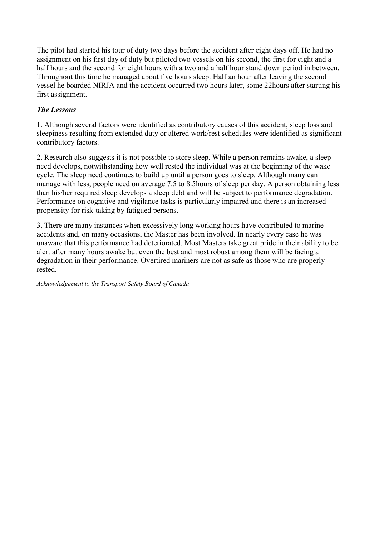The pilot had started his tour of duty two days before the accident after eight days off. He had no assignment on his first day of duty but piloted two vessels on his second, the first for eight and a half hours and the second for eight hours with a two and a half hour stand down period in between. Throughout this time he managed about five hours sleep. Half an hour after leaving the second vessel he boarded NIRJA and the accident occurred two hours later, some 22hours after starting his first assignment.

## *The Lessons*

1. Although several factors were identified as contributory causes of this accident, sleep loss and sleepiness resulting from extended duty or altered work/rest schedules were identified as significant contributory factors.

2. Research also suggests it is not possible to store sleep. While a person remains awake, a sleep need develops, notwithstanding how well rested the individual was at the beginning of the wake cycle. The sleep need continues to build up until a person goes to sleep. Although many can manage with less, people need on average 7.5 to 8.5hours of sleep per day. A person obtaining less than his/her required sleep develops a sleep debt and will be subject to performance degradation. Performance on cognitive and vigilance tasks is particularly impaired and there is an increased propensity for risk-taking by fatigued persons.

3. There are many instances when excessively long working hours have contributed to marine accidents and, on many occasions, the Master has been involved. In nearly every case he was unaware that this performance had deteriorated. Most Masters take great pride in their ability to be alert after many hours awake but even the best and most robust among them will be facing a degradation in their performance. Overtired mariners are not as safe as those who are properly rested.

*Acknowledgement to the Transport Safety Board of Canada*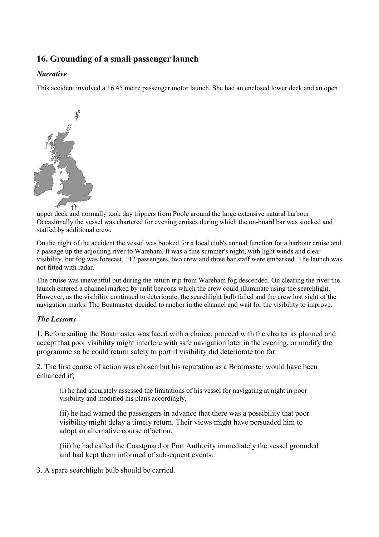## <span id="page-29-0"></span>**16. Grounding of a small passenger launch**

### *Narrative*

This accident involved a 16.45 metre passenger motor launch. She had an enclosed lower deck and an open



upper deck and normally took day trippers from Poole around the large extensive natural harbour. Occasionally the vessel was chartered for evening cruises during which the on-board bar was stocked and staffed by additional crew.

On the night of the accident the vessel was booked for a local club's annual function for a harbour cruise and a passage up the adjoining river to Wareham. It was a fine summer's night, with light winds and clear visibility, but fog was forecast. 112 passengers, two crew and three bar staff were embarked. The launch was not fitted with radar.

The cruise was uneventful but during the return trip from Wareham fog descended. On clearing the river the launch entered a channel marked by unlit beacons which the crew could illuminate using the searchlight. However, as the visibility continued to deteriorate, the searchlight bulb failed and the crew lost sight of the navigation marks. The Boatmaster decided to anchor in the channel and wait for the visibility to improve.

### *The Lessons*

1. Before sailing the Boatmaster was faced with a choice; proceed with the charter as planned and accept that poor visibility might interfere with safe navigation later in the evening, or modify the programme so he could return safely to port if visibility did deteriorate too far.

2. The first course of action was chosen but his reputation as a Boatmaster would have been enhanced if;

(i) he had accurately assessed the limitations of his vessel for navigating at night in poor visibility and modified his plans accordingly,

(ii) he had warned the passengers in advance that there was a possibility that poor visibility might delay a timely return. Their views might have persuaded him to adopt an alternative course of action,

(iii) he had called the Coastguard or Port Authority immediately the vessel grounded and had kept them informed of subsequent events.

3. A spare searchlight bulb should be carried.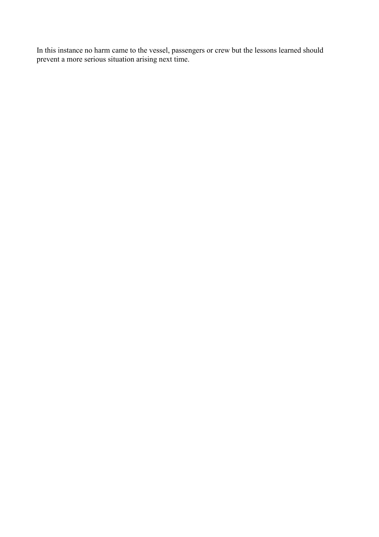In this instance no harm came to the vessel, passengers or crew but the lessons learned should prevent a more serious situation arising next time.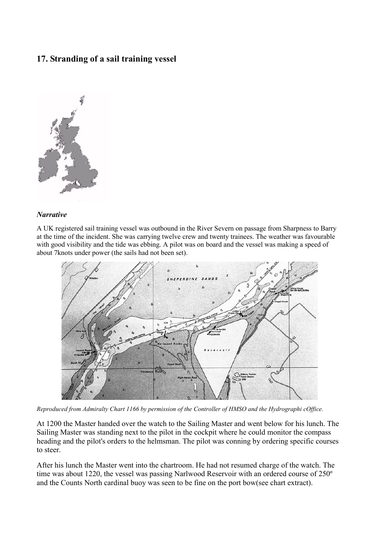## <span id="page-31-0"></span>**17. Stranding of a sail training vessel**



#### *Narrative*

A UK registered sail training vessel was outbound in the River Severn on passage from Sharpness to Barry at the time of the incident. She was carrying twelve crew and twenty trainees. The weather was favourable with good visibility and the tide was ebbing. A pilot was on board and the vessel was making a speed of about 7knots under power (the sails had not been set).



*Reproduced from Admiralty Chart 1166 by permission of the Controller of HMSO and the Hydrographi cOffice.*

At 1200 the Master handed over the watch to the Sailing Master and went below for his lunch. The Sailing Master was standing next to the pilot in the cockpit where he could monitor the compass heading and the pilot's orders to the helmsman. The pilot was conning by ordering specific courses to steer.

After his lunch the Master went into the chartroom. He had not resumed charge of the watch. The time was about 1220, the vessel was passing Narlwood Reservoir with an ordered course of 250º and the Counts North cardinal buoy was seen to be fine on the port bow(see chart extract).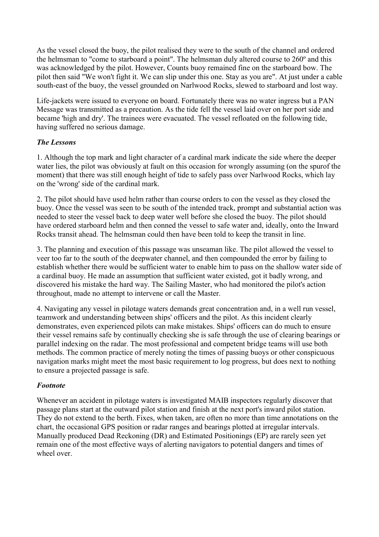As the vessel closed the buoy, the pilot realised they were to the south of the channel and ordered the helmsman to "come to starboard a point". The helmsman duly altered course to 260º and this was acknowledged by the pilot. However, Counts buoy remained fine on the starboard bow. The pilot then said "We won't fight it. We can slip under this one. Stay as you are". At just under a cable south-east of the buoy, the vessel grounded on Narlwood Rocks, slewed to starboard and lost way.

Life-jackets were issued to everyone on board. Fortunately there was no water ingress but a PAN Message was transmitted as a precaution. As the tide fell the vessel laid over on her port side and became 'high and dry'. The trainees were evacuated. The vessel refloated on the following tide, having suffered no serious damage.

## *The Lessons*

1. Although the top mark and light character of a cardinal mark indicate the side where the deeper water lies, the pilot was obviously at fault on this occasion for wrongly assuming (on the spurof the moment) that there was still enough height of tide to safely pass over Narlwood Rocks, which lay on the 'wrong' side of the cardinal mark.

2. The pilot should have used helm rather than course orders to con the vessel as they closed the buoy. Once the vessel was seen to be south of the intended track, prompt and substantial action was needed to steer the vessel back to deep water well before she closed the buoy. The pilot should have ordered starboard helm and then conned the vessel to safe water and, ideally, onto the Inward Rocks transit ahead. The helmsman could then have been told to keep the transit in line.

3. The planning and execution of this passage was unseaman like. The pilot allowed the vessel to veer too far to the south of the deepwater channel, and then compounded the error by failing to establish whether there would be sufficient water to enable him to pass on the shallow water side of a cardinal buoy. He made an assumption that sufficient water existed, got it badly wrong, and discovered his mistake the hard way. The Sailing Master, who had monitored the pilot's action throughout, made no attempt to intervene or call the Master.

4. Navigating any vessel in pilotage waters demands great concentration and, in a well run vessel, teamwork and understanding between ships' officers and the pilot. As this incident clearly demonstrates, even experienced pilots can make mistakes. Ships' officers can do much to ensure their vessel remains safe by continually checking she is safe through the use of clearing bearings or parallel indexing on the radar. The most professional and competent bridge teams will use both methods. The common practice of merely noting the times of passing buoys or other conspicuous navigation marks might meet the most basic requirement to log progress, but does next to nothing to ensure a projected passage is safe.

## *Footnote*

Whenever an accident in pilotage waters is investigated MAIB inspectors regularly discover that passage plans start at the outward pilot station and finish at the next port's inward pilot station. They do not extend to the berth. Fixes, when taken, are often no more than time annotations on the chart, the occasional GPS position or radar ranges and bearings plotted at irregular intervals. Manually produced Dead Reckoning (DR) and Estimated Positionings (EP) are rarely seen yet remain one of the most effective ways of alerting navigators to potential dangers and times of wheel over.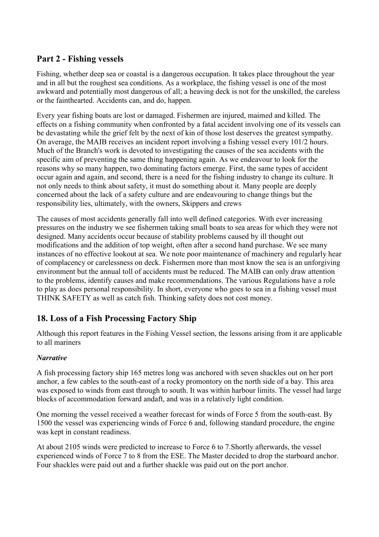## <span id="page-33-0"></span>**Part 2 - Fishing vessels**

Fishing, whether deep sea or coastal is a dangerous occupation. It takes place throughout the year and in all but the roughest sea conditions. As a workplace, the fishing vessel is one of the most awkward and potentially most dangerous of all; a heaving deck is not for the unskilled, the careless or the fainthearted. Accidents can, and do, happen.

Every year fishing boats are lost or damaged. Fishermen are injured, maimed and killed. The effects on a fishing community when confronted by a fatal accident involving one of its vessels can be devastating while the grief felt by the next of kin of those lost deserves the greatest sympathy. On average, the MAIB receives an incident report involving a fishing vessel every 101/2 hours. Much of the Branch's work is devoted to investigating the causes of the sea accidents with the specific aim of preventing the same thing happening again. As we endeavour to look for the reasons why so many happen, two dominating factors emerge. First, the same types of accident occur again and again, and second, there is a need for the fishing industry to change its culture. It not only needs to think about safety, it must do something about it. Many people are deeply concerned about the lack of a safety culture and are endeavouring to change things but the responsibility lies, ultimately, with the owners, Skippers and crews

The causes of most accidents generally fall into well defined categories. With ever increasing pressures on the industry we see fishermen taking small boats to sea areas for which they were not designed. Many accidents occur because of stability problems caused by ill thought out modifications and the addition of top weight, often after a second hand purchase. We see many instances of no effective lookout at sea. We note poor maintenance of machinery and regularly hear of complacency or carelessness on deck. Fishermen more than most know the sea is an unforgiving environment but the annual toll of accidents must be reduced. The MAIB can only draw attention to the problems, identify causes and make recommendations. The various Regulations have a role to play as does personal responsibility. In short, everyone who goes to sea in a fishing vessel must THINK SAFETY as well as catch fish. Thinking safety does not cost money.

## **18. Loss of a Fish Processing Factory Ship**

Although this report features in the Fishing Vessel section, the lessons arising from it are applicable to all mariners

## *Narrative*

A fish processing factory ship 165 metres long was anchored with seven shackles out on her port anchor, a few cables to the south-east of a rocky promontory on the north side of a bay. This area was exposed to winds from east through to south. It was within harbour limits. The vessel had large blocks of accommodation forward andaft, and was in a relatively light condition.

One morning the vessel received a weather forecast for winds of Force 5 from the south-east. By 1500 the vessel was experiencing winds of Force 6 and, following standard procedure, the engine was kept in constant readiness.

At about 2105 winds were predicted to increase to Force 6 to 7.Shortly afterwards, the vessel experienced winds of Force 7 to 8 from the ESE. The Master decided to drop the starboard anchor. Four shackles were paid out and a further shackle was paid out on the port anchor.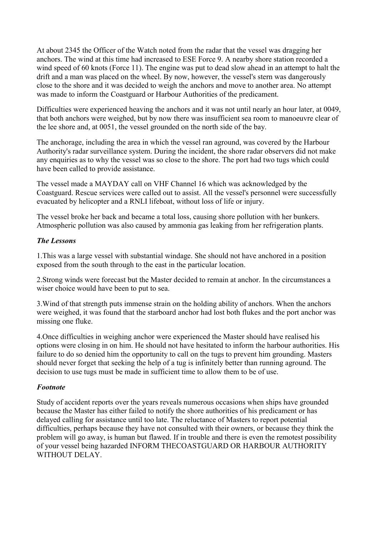At about 2345 the Officer of the Watch noted from the radar that the vessel was dragging her anchors. The wind at this time had increased to ESE Force 9. A nearby shore station recorded a wind speed of 60 knots (Force 11). The engine was put to dead slow ahead in an attempt to halt the drift and a man was placed on the wheel. By now, however, the vessel's stern was dangerously close to the shore and it was decided to weigh the anchors and move to another area. No attempt was made to inform the Coastguard or Harbour Authorities of the predicament.

Difficulties were experienced heaving the anchors and it was not until nearly an hour later, at 0049, that both anchors were weighed, but by now there was insufficient sea room to manoeuvre clear of the lee shore and, at 0051, the vessel grounded on the north side of the bay.

The anchorage, including the area in which the vessel ran aground, was covered by the Harbour Authority's radar surveillance system. During the incident, the shore radar observers did not make any enquiries as to why the vessel was so close to the shore. The port had two tugs which could have been called to provide assistance.

The vessel made a MAYDAY call on VHF Channel 16 which was acknowledged by the Coastguard. Rescue services were called out to assist. All the vessel's personnel were successfully evacuated by helicopter and a RNLI lifeboat, without loss of life or injury.

The vessel broke her back and became a total loss, causing shore pollution with her bunkers. Atmospheric pollution was also caused by ammonia gas leaking from her refrigeration plants.

### *The Lessons*

1.This was a large vessel with substantial windage. She should not have anchored in a position exposed from the south through to the east in the particular location.

2.Strong winds were forecast but the Master decided to remain at anchor. In the circumstances a wiser choice would have been to put to sea.

3.Wind of that strength puts immense strain on the holding ability of anchors. When the anchors were weighed, it was found that the starboard anchor had lost both flukes and the port anchor was missing one fluke.

4.Once difficulties in weighing anchor were experienced the Master should have realised his options were closing in on him. He should not have hesitated to inform the harbour authorities. His failure to do so denied him the opportunity to call on the tugs to prevent him grounding. Masters should never forget that seeking the help of a tug is infinitely better than running aground. The decision to use tugs must be made in sufficient time to allow them to be of use.

#### *Footnote*

Study of accident reports over the years reveals numerous occasions when ships have grounded because the Master has either failed to notify the shore authorities of his predicament or has delayed calling for assistance until too late. The reluctance of Masters to report potential difficulties, perhaps because they have not consulted with their owners, or because they think the problem will go away, is human but flawed. If in trouble and there is even the remotest possibility of your vessel being hazarded INFORM THECOASTGUARD OR HARBOUR AUTHORITY WITHOUT DELAY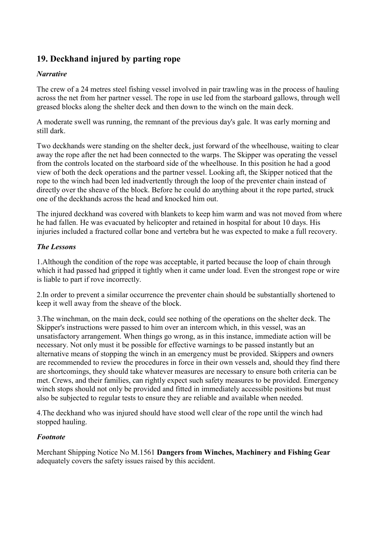## <span id="page-35-0"></span>**19. Deckhand injured by parting rope**

## *Narrative*

The crew of a 24 metres steel fishing vessel involved in pair trawling was in the process of hauling across the net from her partner vessel. The rope in use led from the starboard gallows, through well greased blocks along the shelter deck and then down to the winch on the main deck.

A moderate swell was running, the remnant of the previous day's gale. It was early morning and still dark.

Two deckhands were standing on the shelter deck, just forward of the wheelhouse, waiting to clear away the rope after the net had been connected to the warps. The Skipper was operating the vessel from the controls located on the starboard side of the wheelhouse. In this position he had a good view of both the deck operations and the partner vessel. Looking aft, the Skipper noticed that the rope to the winch had been led inadvertently through the loop of the preventer chain instead of directly over the sheave of the block. Before he could do anything about it the rope parted, struck one of the deckhands across the head and knocked him out.

The injured deckhand was covered with blankets to keep him warm and was not moved from where he had fallen. He was evacuated by helicopter and retained in hospital for about 10 days. His injuries included a fractured collar bone and vertebra but he was expected to make a full recovery.

## *The Lessons*

1.Although the condition of the rope was acceptable, it parted because the loop of chain through which it had passed had gripped it tightly when it came under load. Even the strongest rope or wire is liable to part if rove incorrectly.

2.In order to prevent a similar occurrence the preventer chain should be substantially shortened to keep it well away from the sheave of the block.

3.The winchman, on the main deck, could see nothing of the operations on the shelter deck. The Skipper's instructions were passed to him over an intercom which, in this vessel, was an unsatisfactory arrangement. When things go wrong, as in this instance, immediate action will be necessary. Not only must it be possible for effective warnings to be passed instantly but an alternative means of stopping the winch in an emergency must be provided. Skippers and owners are recommended to review the procedures in force in their own vessels and, should they find there are shortcomings, they should take whatever measures are necessary to ensure both criteria can be met. Crews, and their families, can rightly expect such safety measures to be provided. Emergency winch stops should not only be provided and fitted in immediately accessible positions but must also be subjected to regular tests to ensure they are reliable and available when needed.

4.The deckhand who was injured should have stood well clear of the rope until the winch had stopped hauling.

### *Footnote*

Merchant Shipping Notice No M.1561 **Dangers from Winches, Machinery and Fishing Gear** adequately covers the safety issues raised by this accident.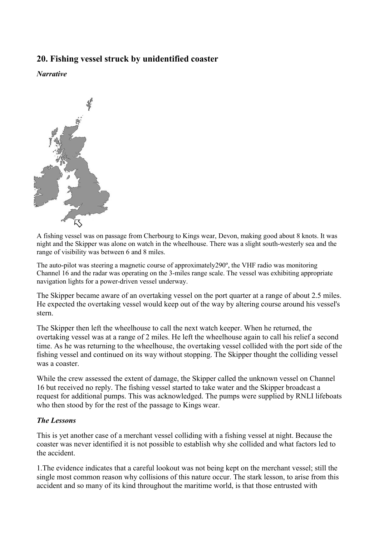## <span id="page-36-0"></span>**20. Fishing vessel struck by unidentified coaster**

*Narrative* 



A fishing vessel was on passage from Cherbourg to Kings wear, Devon, making good about 8 knots. It was night and the Skipper was alone on watch in the wheelhouse. There was a slight south-westerly sea and the range of visibility was between 6 and 8 miles.

The auto-pilot was steering a magnetic course of approximately290º, the VHF radio was monitoring Channel 16 and the radar was operating on the 3-miles range scale. The vessel was exhibiting appropriate navigation lights for a power-driven vessel underway.

The Skipper became aware of an overtaking vessel on the port quarter at a range of about 2.5 miles. He expected the overtaking vessel would keep out of the way by altering course around his vessel's stern.

The Skipper then left the wheelhouse to call the next watch keeper. When he returned, the overtaking vessel was at a range of 2 miles. He left the wheelhouse again to call his relief a second time. As he was returning to the wheelhouse, the overtaking vessel collided with the port side of the fishing vessel and continued on its way without stopping. The Skipper thought the colliding vessel was a coaster.

While the crew assessed the extent of damage, the Skipper called the unknown vessel on Channel 16 but received no reply. The fishing vessel started to take water and the Skipper broadcast a request for additional pumps. This was acknowledged. The pumps were supplied by RNLI lifeboats who then stood by for the rest of the passage to Kings wear.

### *The Lessons*

This is yet another case of a merchant vessel colliding with a fishing vessel at night. Because the coaster was never identified it is not possible to establish why she collided and what factors led to the accident.

1.The evidence indicates that a careful lookout was not being kept on the merchant vessel; still the single most common reason why collisions of this nature occur. The stark lesson, to arise from this accident and so many of its kind throughout the maritime world, is that those entrusted with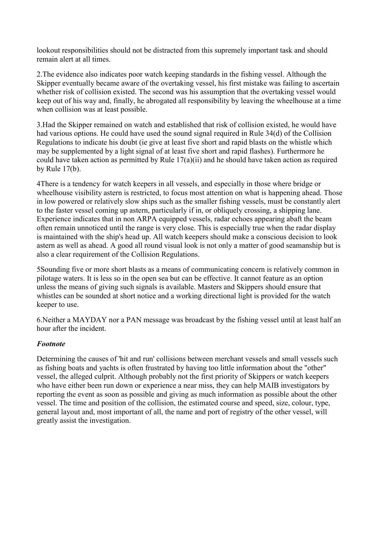lookout responsibilities should not be distracted from this supremely important task and should remain alert at all times.

2.The evidence also indicates poor watch keeping standards in the fishing vessel. Although the Skipper eventually became aware of the overtaking vessel, his first mistake was failing to ascertain whether risk of collision existed. The second was his assumption that the overtaking vessel would keep out of his way and, finally, he abrogated all responsibility by leaving the wheelhouse at a time when collision was at least possible.

3.Had the Skipper remained on watch and established that risk of collision existed, he would have had various options. He could have used the sound signal required in Rule 34(d) of the Collision Regulations to indicate his doubt (ie give at least five short and rapid blasts on the whistle which may be supplemented by a light signal of at least five short and rapid flashes). Furthermore he could have taken action as permitted by Rule 17(a)(ii) and he should have taken action as required by Rule 17(b).

4There is a tendency for watch keepers in all vessels, and especially in those where bridge or wheelhouse visibility astern is restricted, to focus most attention on what is happening ahead. Those in low powered or relatively slow ships such as the smaller fishing vessels, must be constantly alert to the faster vessel coming up astern, particularly if in, or obliquely crossing, a shipping lane. Experience indicates that in non ARPA equipped vessels, radar echoes appearing abaft the beam often remain unnoticed until the range is very close. This is especially true when the radar display is maintained with the ship's head up. All watch keepers should make a conscious decision to look astern as well as ahead. A good all round visual look is not only a matter of good seamanship but is also a clear requirement of the Collision Regulations.

5Sounding five or more short blasts as a means of communicating concern is relatively common in pilotage waters. It is less so in the open sea but can be effective. It cannot feature as an option unless the means of giving such signals is available. Masters and Skippers should ensure that whistles can be sounded at short notice and a working directional light is provided for the watch keeper to use.

6.Neither a MAYDAY nor a PAN message was broadcast by the fishing vessel until at least half an hour after the incident.

### *Footnote*

Determining the causes of 'hit and run' collisions between merchant vessels and small vessels such as fishing boats and yachts is often frustrated by having too little information about the "other" vessel, the alleged culprit. Although probably not the first priority of Skippers or watch keepers who have either been run down or experience a near miss, they can help MAIB investigators by reporting the event as soon as possible and giving as much information as possible about the other vessel. The time and position of the collision, the estimated course and speed, size, colour, type, general layout and, most important of all, the name and port of registry of the other vessel, will greatly assist the investigation.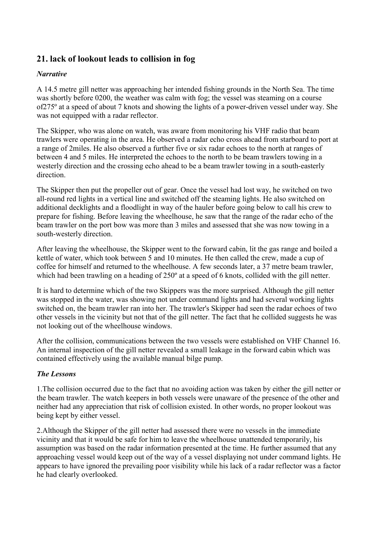## <span id="page-38-0"></span>**21. lack of lookout leads to collision in fog**

## *Narrative*

A 14.5 metre gill netter was approaching her intended fishing grounds in the North Sea. The time was shortly before 0200, the weather was calm with fog; the vessel was steaming on a course of275º at a speed of about 7 knots and showing the lights of a power-driven vessel under way. She was not equipped with a radar reflector.

The Skipper, who was alone on watch, was aware from monitoring his VHF radio that beam trawlers were operating in the area. He observed a radar echo cross ahead from starboard to port at a range of 2miles. He also observed a further five or six radar echoes to the north at ranges of between 4 and 5 miles. He interpreted the echoes to the north to be beam trawlers towing in a westerly direction and the crossing echo ahead to be a beam trawler towing in a south-easterly direction.

The Skipper then put the propeller out of gear. Once the vessel had lost way, he switched on two all-round red lights in a vertical line and switched off the steaming lights. He also switched on additional decklights and a floodlight in way of the hauler before going below to call his crew to prepare for fishing. Before leaving the wheelhouse, he saw that the range of the radar echo of the beam trawler on the port bow was more than 3 miles and assessed that she was now towing in a south-westerly direction.

After leaving the wheelhouse, the Skipper went to the forward cabin, lit the gas range and boiled a kettle of water, which took between 5 and 10 minutes. He then called the crew, made a cup of coffee for himself and returned to the wheelhouse. A few seconds later, a 37 metre beam trawler, which had been trawling on a heading of 250° at a speed of 6 knots, collided with the gill netter.

It is hard to determine which of the two Skippers was the more surprised. Although the gill netter was stopped in the water, was showing not under command lights and had several working lights switched on, the beam trawler ran into her. The trawler's Skipper had seen the radar echoes of two other vessels in the vicinity but not that of the gill netter. The fact that he collided suggests he was not looking out of the wheelhouse windows.

After the collision, communications between the two vessels were established on VHF Channel 16. An internal inspection of the gill netter revealed a small leakage in the forward cabin which was contained effectively using the available manual bilge pump.

### *The Lessons*

1.The collision occurred due to the fact that no avoiding action was taken by either the gill netter or the beam trawler. The watch keepers in both vessels were unaware of the presence of the other and neither had any appreciation that risk of collision existed. In other words, no proper lookout was being kept by either vessel.

2.Although the Skipper of the gill netter had assessed there were no vessels in the immediate vicinity and that it would be safe for him to leave the wheelhouse unattended temporarily, his assumption was based on the radar information presented at the time. He further assumed that any approaching vessel would keep out of the way of a vessel displaying not under command lights. He appears to have ignored the prevailing poor visibility while his lack of a radar reflector was a factor he had clearly overlooked.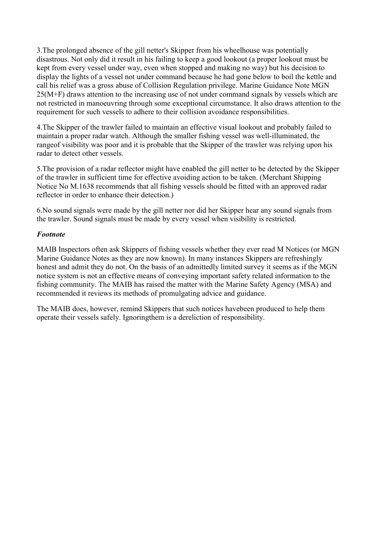3.The prolonged absence of the gill netter's Skipper from his wheelhouse was potentially disastrous. Not only did it result in his failing to keep a good lookout (a proper lookout must be kept from every vessel under way, even when stopped and making no way) but his decision to display the lights of a vessel not under command because he had gone below to boil the kettle and call his relief was a gross abuse of Collision Regulation privilege. Marine Guidance Note MGN 25(M+F) draws attention to the increasing use of not under command signals by vessels which are not restricted in manoeuvring through some exceptional circumstance. It also draws attention to the requirement for such vessels to adhere to their collision avoidance responsibilities.

4.The Skipper of the trawler failed to maintain an effective visual lookout and probably failed to maintain a proper radar watch. Although the smaller fishing vessel was well-illuminated, the rangeof visibility was poor and it is probable that the Skipper of the trawler was relying upon his radar to detect other vessels.

5.The provision of a radar reflector might have enabled the gill netter to be detected by the Skipper of the trawler in sufficient time for effective avoiding action to be taken. (Merchant Shipping Notice No M.1638 recommends that all fishing vessels should be fitted with an approved radar reflector in order to enhance their detection.)

6.No sound signals were made by the gill netter nor did her Skipper hear any sound signals from the trawler. Sound signals must be made by every vessel when visibility is restricted.

### *Footnote*

MAIB Inspectors often ask Skippers of fishing vessels whether they ever read M Notices (or MGN Marine Guidance Notes as they are now known). In many instances Skippers are refreshingly honest and admit they do not. On the basis of an admittedly limited survey it seems as if the MGN notice system is not an effective means of conveying important safety related information to the fishing community. The MAIB has raised the matter with the Marine Safety Agency (MSA) and recommended it reviews its methods of promulgating advice and guidance.

The MAIB does, however, remind Skippers that such notices havebeen produced to help them operate their vessels safely. Ignoringthem is a dereliction of responsibility.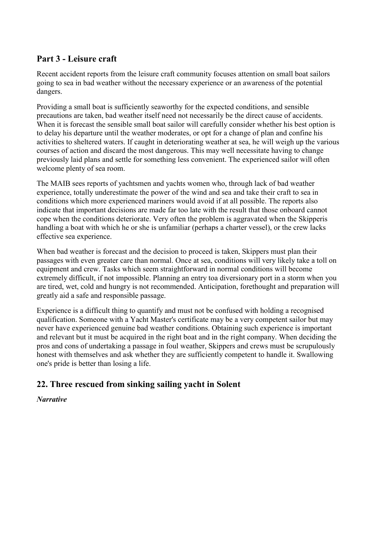## <span id="page-40-0"></span>**Part 3 - Leisure craft**

Recent accident reports from the leisure craft community focuses attention on small boat sailors going to sea in bad weather without the necessary experience or an awareness of the potential dangers.

Providing a small boat is sufficiently seaworthy for the expected conditions, and sensible precautions are taken, bad weather itself need not necessarily be the direct cause of accidents. When it is forecast the sensible small boat sailor will carefully consider whether his best option is to delay his departure until the weather moderates, or opt for a change of plan and confine his activities to sheltered waters. If caught in deteriorating weather at sea, he will weigh up the various courses of action and discard the most dangerous. This may well necessitate having to change previously laid plans and settle for something less convenient. The experienced sailor will often welcome plenty of sea room.

The MAIB sees reports of yachtsmen and yachts women who, through lack of bad weather experience, totally underestimate the power of the wind and sea and take their craft to sea in conditions which more experienced mariners would avoid if at all possible. The reports also indicate that important decisions are made far too late with the result that those onboard cannot cope when the conditions deteriorate. Very often the problem is aggravated when the Skipperis handling a boat with which he or she is unfamiliar (perhaps a charter vessel), or the crew lacks effective sea experience.

When bad weather is forecast and the decision to proceed is taken, Skippers must plan their passages with even greater care than normal. Once at sea, conditions will very likely take a toll on equipment and crew. Tasks which seem straightforward in normal conditions will become extremely difficult, if not impossible. Planning an entry toa diversionary port in a storm when you are tired, wet, cold and hungry is not recommended. Anticipation, forethought and preparation will greatly aid a safe and responsible passage.

Experience is a difficult thing to quantify and must not be confused with holding a recognised qualification. Someone with a Yacht Master's certificate may be a very competent sailor but may never have experienced genuine bad weather conditions. Obtaining such experience is important and relevant but it must be acquired in the right boat and in the right company. When deciding the pros and cons of undertaking a passage in foul weather, Skippers and crews must be scrupulously honest with themselves and ask whether they are sufficiently competent to handle it. Swallowing one's pride is better than losing a life.

## **22. Three rescued from sinking sailing yacht in Solent**

### *Narrative*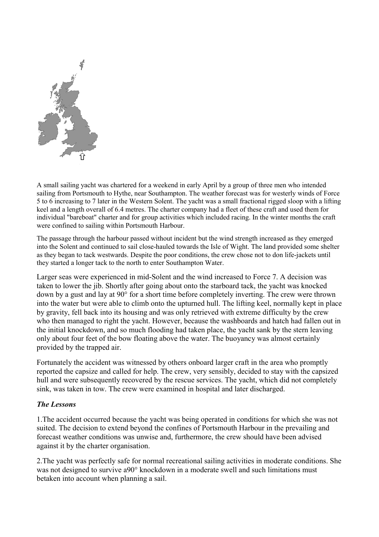

A small sailing yacht was chartered for a weekend in early April by a group of three men who intended sailing from Portsmouth to Hythe, near Southampton. The weather forecast was for westerly winds of Force 5 to 6 increasing to 7 later in the Western Solent. The yacht was a small fractional rigged sloop with a lifting keel and a length overall of 6.4 metres. The charter company had a fleet of these craft and used them for individual "bareboat" charter and for group activities which included racing. In the winter months the craft were confined to sailing within Portsmouth Harbour.

The passage through the harbour passed without incident but the wind strength increased as they emerged into the Solent and continued to sail close-hauled towards the Isle of Wight. The land provided some shelter as they began to tack westwards. Despite the poor conditions, the crew chose not to don life-jackets until they started a longer tack to the north to enter Southampton Water.

Larger seas were experienced in mid-Solent and the wind increased to Force 7. A decision was taken to lower the jib. Shortly after going about onto the starboard tack, the yacht was knocked down by a gust and lay at 90° for a short time before completely inverting. The crew were thrown into the water but were able to climb onto the upturned hull. The lifting keel, normally kept in place by gravity, fell back into its housing and was only retrieved with extreme difficulty by the crew who then managed to right the yacht. However, because the washboards and hatch had fallen out in the initial knockdown, and so much flooding had taken place, the yacht sank by the stern leaving only about four feet of the bow floating above the water. The buoyancy was almost certainly provided by the trapped air.

Fortunately the accident was witnessed by others onboard larger craft in the area who promptly reported the capsize and called for help. The crew, very sensibly, decided to stay with the capsized hull and were subsequently recovered by the rescue services. The yacht, which did not completely sink, was taken in tow. The crew were examined in hospital and later discharged.

### *The Lessons*

1.The accident occurred because the yacht was being operated in conditions for which she was not suited. The decision to extend beyond the confines of Portsmouth Harbour in the prevailing and forecast weather conditions was unwise and, furthermore, the crew should have been advised against it by the charter organisation.

2.The yacht was perfectly safe for normal recreational sailing activities in moderate conditions. She was not designed to survive a90° knockdown in a moderate swell and such limitations must betaken into account when planning a sail.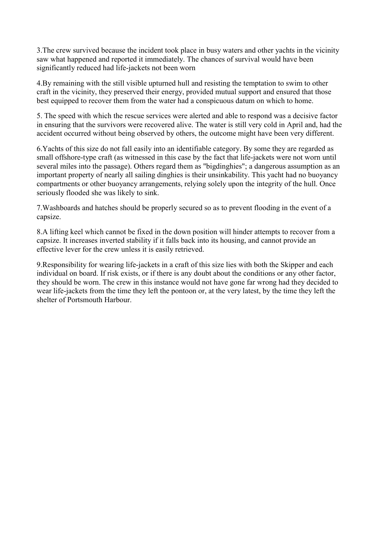3.The crew survived because the incident took place in busy waters and other yachts in the vicinity saw what happened and reported it immediately. The chances of survival would have been significantly reduced had life-jackets not been worn

4.By remaining with the still visible upturned hull and resisting the temptation to swim to other craft in the vicinity, they preserved their energy, provided mutual support and ensured that those best equipped to recover them from the water had a conspicuous datum on which to home.

5. The speed with which the rescue services were alerted and able to respond was a decisive factor in ensuring that the survivors were recovered alive. The water is still very cold in April and, had the accident occurred without being observed by others, the outcome might have been very different.

6.Yachts of this size do not fall easily into an identifiable category. By some they are regarded as small offshore-type craft (as witnessed in this case by the fact that life-jackets were not worn until several miles into the passage). Others regard them as "bigdinghies"; a dangerous assumption as an important property of nearly all sailing dinghies is their unsinkability. This yacht had no buoyancy compartments or other buoyancy arrangements, relying solely upon the integrity of the hull. Once seriously flooded she was likely to sink.

7.Washboards and hatches should be properly secured so as to prevent flooding in the event of a capsize.

8.A lifting keel which cannot be fixed in the down position will hinder attempts to recover from a capsize. It increases inverted stability if it falls back into its housing, and cannot provide an effective lever for the crew unless it is easily retrieved.

9.Responsibility for wearing life-jackets in a craft of this size lies with both the Skipper and each individual on board. If risk exists, or if there is any doubt about the conditions or any other factor, they should be worn. The crew in this instance would not have gone far wrong had they decided to wear life-jackets from the time they left the pontoon or, at the very latest, by the time they left the shelter of Portsmouth Harbour.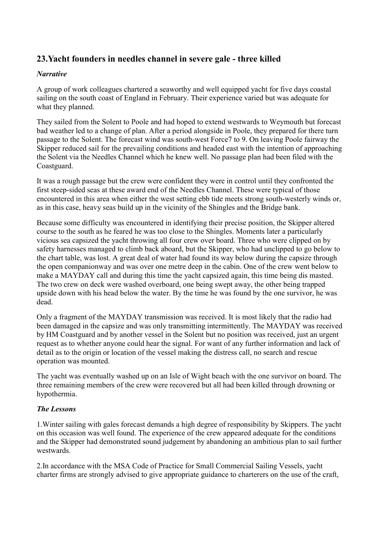## <span id="page-43-0"></span>**23.Yacht founders in needles channel in severe gale - three killed**

## *Narrative*

A group of work colleagues chartered a seaworthy and well equipped yacht for five days coastal sailing on the south coast of England in February. Their experience varied but was adequate for what they planned.

They sailed from the Solent to Poole and had hoped to extend westwards to Weymouth but forecast bad weather led to a change of plan. After a period alongside in Poole, they prepared for there turn passage to the Solent. The forecast wind was south-west Force7 to 9. On leaving Poole fairway the Skipper reduced sail for the prevailing conditions and headed east with the intention of approaching the Solent via the Needles Channel which he knew well. No passage plan had been filed with the Coastguard.

It was a rough passage but the crew were confident they were in control until they confronted the first steep-sided seas at these award end of the Needles Channel. These were typical of those encountered in this area when either the west setting ebb tide meets strong south-westerly winds or, as in this case, heavy seas build up in the vicinity of the Shingles and the Bridge bank.

Because some difficulty was encountered in identifying their precise position, the Skipper altered course to the south as he feared he was too close to the Shingles. Moments later a particularly vicious sea capsized the yacht throwing all four crew over board. Three who were clipped on by safety harnesses managed to climb back aboard, but the Skipper, who had unclipped to go below to the chart table, was lost. A great deal of water had found its way below during the capsize through the open companionway and was over one metre deep in the cabin. One of the crew went below to make a MAYDAY call and during this time the yacht capsized again, this time being dis masted. The two crew on deck were washed overboard, one being swept away, the other being trapped upside down with his head below the water. By the time he was found by the one survivor, he was dead.

Only a fragment of the MAYDAY transmission was received. It is most likely that the radio had been damaged in the capsize and was only transmitting intermittently. The MAYDAY was received by HM Coastguard and by another vessel in the Solent but no position was received, just an urgent request as to whether anyone could hear the signal. For want of any further information and lack of detail as to the origin or location of the vessel making the distress call, no search and rescue operation was mounted.

The yacht was eventually washed up on an Isle of Wight beach with the one survivor on board. The three remaining members of the crew were recovered but all had been killed through drowning or hypothermia.

## *The Lessons*

1.Winter sailing with gales forecast demands a high degree of responsibility by Skippers. The yacht on this occasion was well found. The experience of the crew appeared adequate for the conditions and the Skipper had demonstrated sound judgement by abandoning an ambitious plan to sail further westwards.

2.In accordance with the MSA Code of Practice for Small Commercial Sailing Vessels, yacht charter firms are strongly advised to give appropriate guidance to charterers on the use of the craft,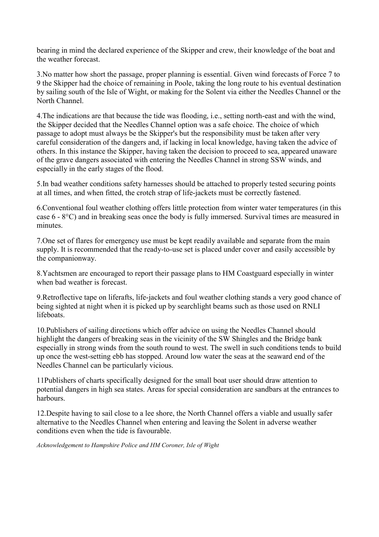bearing in mind the declared experience of the Skipper and crew, their knowledge of the boat and the weather forecast.

3.No matter how short the passage, proper planning is essential. Given wind forecasts of Force 7 to 9 the Skipper had the choice of remaining in Poole, taking the long route to his eventual destination by sailing south of the Isle of Wight, or making for the Solent via either the Needles Channel or the North Channel.

4.The indications are that because the tide was flooding, i.e., setting north-east and with the wind, the Skipper decided that the Needles Channel option was a safe choice. The choice of which passage to adopt must always be the Skipper's but the responsibility must be taken after very careful consideration of the dangers and, if lacking in local knowledge, having taken the advice of others. In this instance the Skipper, having taken the decision to proceed to sea, appeared unaware of the grave dangers associated with entering the Needles Channel in strong SSW winds, and especially in the early stages of the flood.

5.In bad weather conditions safety harnesses should be attached to properly tested securing points at all times, and when fitted, the crotch strap of life-jackets must be correctly fastened.

6.Conventional foul weather clothing offers little protection from winter water temperatures (in this case 6 - 8°C) and in breaking seas once the body is fully immersed. Survival times are measured in minutes.

7.One set of flares for emergency use must be kept readily available and separate from the main supply. It is recommended that the ready-to-use set is placed under cover and easily accessible by the companionway.

8.Yachtsmen are encouraged to report their passage plans to HM Coastguard especially in winter when bad weather is forecast.

9.Retroflective tape on liferafts, life-jackets and foul weather clothing stands a very good chance of being sighted at night when it is picked up by searchlight beams such as those used on RNLI lifeboats.

10.Publishers of sailing directions which offer advice on using the Needles Channel should highlight the dangers of breaking seas in the vicinity of the SW Shingles and the Bridge bank especially in strong winds from the south round to west. The swell in such conditions tends to build up once the west-setting ebb has stopped. Around low water the seas at the seaward end of the Needles Channel can be particularly vicious.

11Publishers of charts specifically designed for the small boat user should draw attention to potential dangers in high sea states. Areas for special consideration are sandbars at the entrances to harbours.

12.Despite having to sail close to a lee shore, the North Channel offers a viable and usually safer alternative to the Needles Channel when entering and leaving the Solent in adverse weather conditions even when the tide is favourable.

*Acknowledgement to Hampshire Police and HM Coroner, Isle of Wight*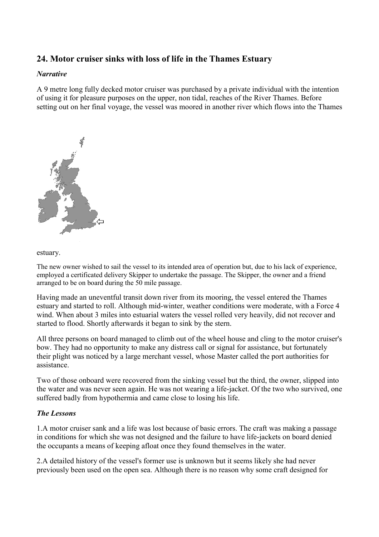## <span id="page-45-0"></span>**24. Motor cruiser sinks with loss of life in the Thames Estuary**

#### *Narrative*

A 9 metre long fully decked motor cruiser was purchased by a private individual with the intention of using it for pleasure purposes on the upper, non tidal, reaches of the River Thames. Before setting out on her final voyage, the vessel was moored in another river which flows into the Thames



#### estuary.

The new owner wished to sail the vessel to its intended area of operation but, due to his lack of experience, employed a certificated delivery Skipper to undertake the passage. The Skipper, the owner and a friend arranged to be on board during the 50 mile passage.

Having made an uneventful transit down river from its mooring, the vessel entered the Thames estuary and started to roll. Although mid-winter, weather conditions were moderate, with a Force 4 wind. When about 3 miles into estuarial waters the vessel rolled very heavily, did not recover and started to flood. Shortly afterwards it began to sink by the stern.

All three persons on board managed to climb out of the wheel house and cling to the motor cruiser's bow. They had no opportunity to make any distress call or signal for assistance, but fortunately their plight was noticed by a large merchant vessel, whose Master called the port authorities for assistance.

Two of those onboard were recovered from the sinking vessel but the third, the owner, slipped into the water and was never seen again. He was not wearing a life-jacket. Of the two who survived, one suffered badly from hypothermia and came close to losing his life.

### *The Lessons*

1.A motor cruiser sank and a life was lost because of basic errors. The craft was making a passage in conditions for which she was not designed and the failure to have life-jackets on board denied the occupants a means of keeping afloat once they found themselves in the water.

2.A detailed history of the vessel's former use is unknown but it seems likely she had never previously been used on the open sea. Although there is no reason why some craft designed for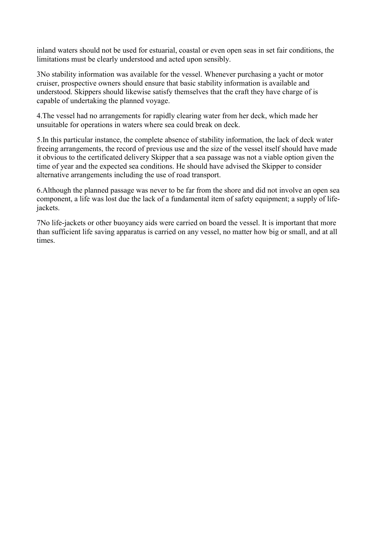inland waters should not be used for estuarial, coastal or even open seas in set fair conditions, the limitations must be clearly understood and acted upon sensibly.

3No stability information was available for the vessel. Whenever purchasing a yacht or motor cruiser, prospective owners should ensure that basic stability information is available and understood. Skippers should likewise satisfy themselves that the craft they have charge of is capable of undertaking the planned voyage.

4.The vessel had no arrangements for rapidly clearing water from her deck, which made her unsuitable for operations in waters where sea could break on deck.

5.In this particular instance, the complete absence of stability information, the lack of deck water freeing arrangements, the record of previous use and the size of the vessel itself should have made it obvious to the certificated delivery Skipper that a sea passage was not a viable option given the time of year and the expected sea conditions. He should have advised the Skipper to consider alternative arrangements including the use of road transport.

6.Although the planned passage was never to be far from the shore and did not involve an open sea component, a life was lost due the lack of a fundamental item of safety equipment; a supply of lifejackets.

7No life-jackets or other buoyancy aids were carried on board the vessel. It is important that more than sufficient life saving apparatus is carried on any vessel, no matter how big or small, and at all times.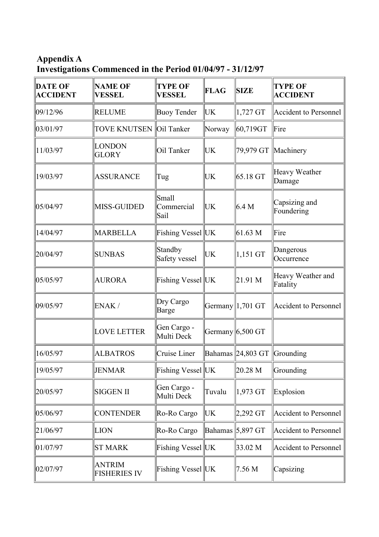<span id="page-47-0"></span>**Appendix A Investigations Commenced in the Period 01/04/97 - 31/12/97** 

| <b>DATE OF</b><br><b>ACCIDENT</b> | <b>NAME OF</b><br><b>VESSEL</b>      | <b>TYPE OF</b><br><b>VESSEL</b> | FLAG   | <b>SIZE</b>                   | <b>TYPE OF</b><br><b>ACCIDENT</b> |
|-----------------------------------|--------------------------------------|---------------------------------|--------|-------------------------------|-----------------------------------|
| 09/12/96                          | <b>RELUME</b>                        | <b>Buoy Tender</b>              | UK.    | $1,727$ GT                    | <b>Accident to Personnel</b>      |
| 03/01/97                          | <b>TOVE KNUTSEN</b>                  | Oil Tanker                      | Norway | 60,719GT                      | Fire                              |
| 11/03/97                          | <b>LONDON</b><br><b>GLORY</b>        | Oil Tanker                      | UK     | 79,979 GT Machinery           |                                   |
| 19/03/97                          | <b>ASSURANCE</b>                     | Tug                             | UK     | $65.18$ GT                    | Heavy Weather<br>Damage           |
| 05/04/97                          | <b>MISS-GUIDED</b>                   | Small<br>Commercial<br>Sail     | UК     | 6.4 M                         | Capsizing and<br>Foundering       |
| 14/04/97                          | <b>MARBELLA</b>                      | Fishing Vessel UK               |        | 61.63 M                       | Fire                              |
| 20/04/97                          | <b>SUNBAS</b>                        | Standby<br>Safety vessel        | UK     | $1,151$ GT                    | Dangerous<br>Occurrence           |
| 05/05/97                          | <b>AURORA</b>                        | Fishing Vessel UK               |        | 21.91 M                       | Heavy Weather and<br>Fatality     |
| 09/05/97                          | ENAK/                                | Dry Cargo<br>Barge              |        | Germany 1,701 GT              | <b>Accident to Personnel</b>      |
|                                   | <b>LOVE LETTER</b>                   | Gen Cargo -<br>Multi Deck       |        | Germany $6,500$ GT            |                                   |
| 16/05/97                          | <b>ALBATROS</b>                      | Cruise Liner                    |        | Bahamas $24,803$ GT Grounding |                                   |
| 19/05/97                          | <b>JENMAR</b>                        | Fishing Vessel  UK              |        | $\ 20.28\text{ M}$            | Grounding                         |
| 20/05/97                          | <b>SIGGEN II</b>                     | Gen Cargo -<br>Multi Deck       | Tuvalu | $1,973$ GT                    | Explosion                         |
| 05/06/97                          | <b>CONTENDER</b>                     | Ro-Ro Cargo                     | UК     | $\vert 2,292$ GT              | Accident to Personnel             |
| 21/06/97                          | <b>LION</b>                          | Ro-Ro Cargo                     |        | Bahamas $\vert 5,897$ GT      | <b>Accident to Personnel</b>      |
| 01/07/97                          | <b>ST MARK</b>                       | Fishing Vessel UK               |        | 33.02 M                       | Accident to Personnel             |
| 02/07/97                          | <b>ANTRIM</b><br><b>FISHERIES IV</b> | Fishing Vessel  UK              |        | 7.56 M                        | Capsizing                         |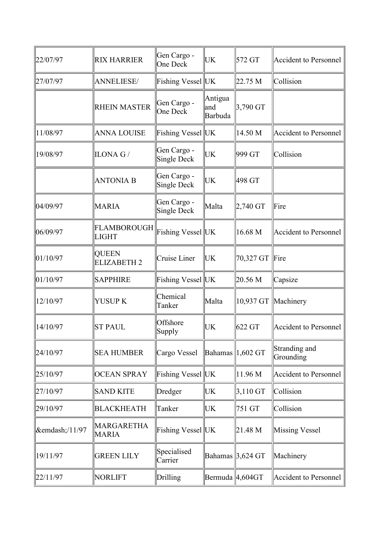| 22/07/97           | <b>RIX HARRIER</b>                 | Gen Cargo -<br>One Deck    | UK                        | 572 GT                       | Accident to Personnel        |
|--------------------|------------------------------------|----------------------------|---------------------------|------------------------------|------------------------------|
| 27/07/97           | <b>ANNELIESE/</b>                  | Fishing Vessel UK          |                           | 22.75 M                      | Collision                    |
|                    | <b>RHEIN MASTER</b>                | Gen Cargo -<br>One Deck    | Antigua<br>and<br>Barbuda | 3,790 GT                     |                              |
| 11/08/97           | <b>ANNA LOUISE</b>                 | Fishing Vessel UK          |                           | 14.50 M                      | Accident to Personnel        |
| 19/08/97           | ILONA G/                           | Gen Cargo -<br>Single Deck | UK                        | 999 GT                       | Collision                    |
|                    | <b>ANTONIA B</b>                   | Gen Cargo -<br>Single Deck | UK                        | 498 GT                       |                              |
| 04/09/97           | <b>MARIA</b>                       | Gen Cargo -<br>Single Deck | Malta                     | 2,740 GT                     | Fire                         |
| 06/09/97           | FLAMBOROUGH<br><b>LIGHT</b>        | Fishing Vessel UK          |                           | 16.68 M                      | Accident to Personnel        |
| 01/10/97           | <b>QUEEN</b><br><b>ELIZABETH 2</b> | Cruise Liner               | UK                        | 70,327 GT                    | Fire                         |
| 01/10/97           | <b>SAPPHIRE</b>                    | Fishing Vessel UK          |                           | 20.56 M                      | Capsize                      |
| 12/10/97           | YUSUP K                            | Chemical<br>Tanker         | Malta                     |                              | 10,937 GT Machinery          |
| 14/10/97           | <b>ST PAUL</b>                     | Offshore<br>Supply         | UK                        | 622 GT                       | Accident to Personnel        |
| 24/10/97           | <b>SEA HUMBER</b>                  | Cargo Vessel               |                           | Bahamas $\parallel$ 1,602 GT | Stranding and<br>Grounding   |
| 25/10/97           | <b>OCEAN SPRAY</b>                 | Fishing Vessel UK          |                           | 11.96 M                      | <b>Accident to Personnel</b> |
| 27/10/97           | <b>SAND KITE</b>                   | Dredger                    | UK                        | $3,110$ GT                   | Collision                    |
| 29/10/97           | <b>BLACKHEATH</b>                  | Tanker                     | UK                        | 751 GT                       | Collision                    |
| $\&$ emdash;/11/97 | MARGARETHA<br><b>MARIA</b>         | Fishing Vessel UK          |                           | 21.48 M                      | Missing Vessel               |
| 19/11/97           | <b>GREEN LILY</b>                  | Specialised<br>Carrier     |                           | Bahamas 3,624 GT             | Machinery                    |
| 22/11/97           | NORLIFT                            | Drilling                   | Bermuda $ 4,604$ GT       |                              | Accident to Personnel        |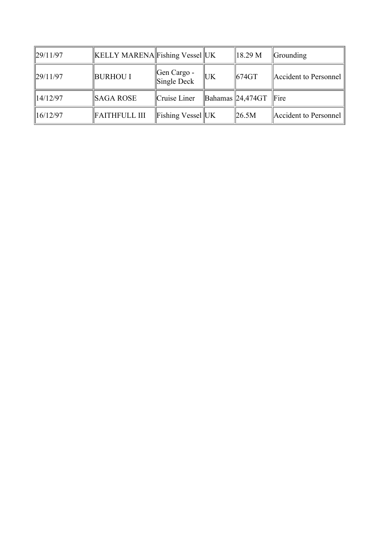| $\ 29/11/97\ $ | <b>KELLY MARENA Fishing Vessel UK</b> |                            |            | 18.29 M                                      | <b>Grounding</b>      |
|----------------|---------------------------------------|----------------------------|------------|----------------------------------------------|-----------------------|
| $\ 29/11/97\ $ | <b>BURHOU I</b>                       | Gen Cargo -<br>Single Deck | <b>IUK</b> | 1674GT                                       | Accident to Personnel |
| $\ 14/12/97\ $ | SAGA ROSE                             | Cruise Liner               |            | $\mathbf{B}$ ahamas $\mathbf{24,}474GT$ Fire |                       |
| $\ 16/12/97\ $ | <b>FAITHFULL III</b>                  | Fishing Vessel UK          |            | $\parallel$ 26.5M                            | Accident to Personnel |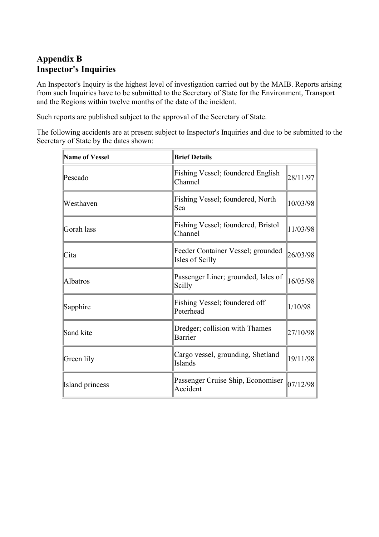## <span id="page-50-0"></span>**Appendix B Inspector's Inquiries**

An Inspector's Inquiry is the highest level of investigation carried out by the MAIB. Reports arising from such Inquiries have to be submitted to the Secretary of State for the Environment, Transport and the Regions within twelve months of the date of the incident.

Such reports are published subject to the approval of the Secretary of State.

The following accidents are at present subject to Inspector's Inquiries and due to be submitted to the Secretary of State by the dates shown:

| Name of Vessel         | <b>Brief Details</b>                                 |          |  |  |
|------------------------|------------------------------------------------------|----------|--|--|
| Pescado                | <b>Fishing Vessel</b> ; foundered English<br>Channel | 28/11/97 |  |  |
| Westhaven              | Fishing Vessel; foundered, North<br>Sea              | 10/03/98 |  |  |
| Gorah lass             | Fishing Vessel; foundered, Bristol<br>Channel        | 11/03/98 |  |  |
| Cita                   | Feeder Container Vessel; grounded<br>Isles of Scilly | 26/03/98 |  |  |
| Albatros               | Passenger Liner; grounded, Isles of<br>Scilly        | 16/05/98 |  |  |
| Sapphire               | Fishing Vessel; foundered off<br>Peterhead           | 1/10/98  |  |  |
| Sand kite              | Dredger; collision with Thames<br>Barrier            | 27/10/98 |  |  |
| Green lily             | Cargo vessel, grounding, Shetland<br>Islands         | 19/11/98 |  |  |
| <b>Island</b> princess | Passenger Cruise Ship, Economiser<br>Accident        | 07/12/98 |  |  |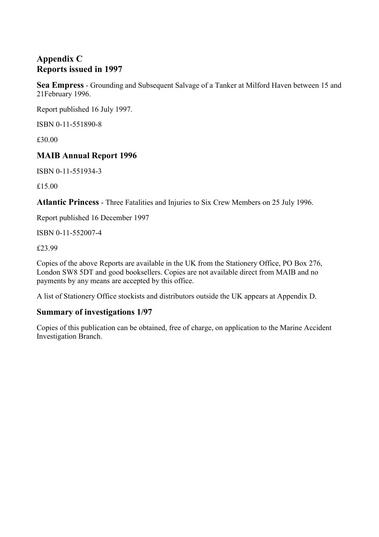## <span id="page-51-0"></span>**Appendix C Reports issued in 1997**

**Sea Empress** - Grounding and Subsequent Salvage of a Tanker at Milford Haven between 15 and 21February 1996.

Report published 16 July 1997.

ISBN 0-11-551890-8

£30.00

## **MAIB Annual Report 1996**

ISBN 0-11-551934-3

£15.00

**Atlantic Princess** - Three Fatalities and Injuries to Six Crew Members on 25 July 1996.

Report published 16 December 1997

ISBN 0-11-552007-4

£23.99

Copies of the above Reports are available in the UK from the Stationery Office, PO Box 276, London SW8 5DT and good booksellers. Copies are not available direct from MAIB and no payments by any means are accepted by this office.

A list of Stationery Office stockists and distributors outside the UK appears at Appendix D.

## **Summary of investigations 1/97**

Copies of this publication can be obtained, free of charge, on application to the Marine Accident Investigation Branch.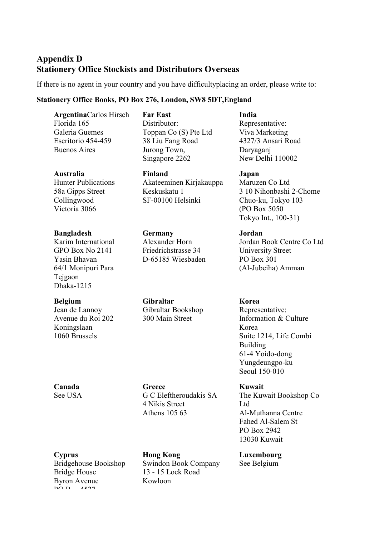## <span id="page-52-0"></span>**Appendix D Stationery Office Stockists and Distributors Overseas**

If there is no agent in your country and you have difficultyplacing an order, please write to:

Toppan Co (S) Pte Ltd 38 Liu Fang Road Jurong Town, Singapore 2262

Akateeminen Kirjakauppa

#### **Stationery Office Books, PO Box 276, London, SW8 5DT,England**

**Far East** Distributor:

**Finland** 

Keskuskatu 1 SF-00100 Helsinki

**Germany**  Alexander Horn Friedrichstrasse 34 D-65185 Wiesbaden

**Gibraltar** 

Gibraltar Bookshop 300 Main Street

**Argentina**Carlos Hirsch Florida 165 Galeria Guemes Escritorio 454-459 Buenos Aires

#### **Australia**

Hunter Publications 58a Gipps Street Collingwood Victoria 3066

#### **Bangladesh**

Karim International GPO Box No 2141 Yasin Bhavan 64/1 Monipuri Para Tejgaon Dhaka-1215

#### **Belgium**

Jean de Lannoy Avenue du Roi 202 Koningslaan 1060 Brussels

**Canada** See USA **Greece** 

G C Eleftheroudakis SA 4 Nikis Street Athens 105 63

**Cyprus** 

Bridgehouse Bookshop Bridge House Byron Avenue  $\overline{p}$   $\overline{p}$ 

**Hong Kong**  Swindon Book Company 13 - 15 Lock Road Kowloon

**India** Representative: Viva Marketing 4327/3 Ansari Road Daryaganj New Delhi 110002

**Japan**  Maruzen Co Ltd 3 10 Nihonbashi 2-Chome Chuo-ku, Tokyo 103 (PO Box 5050 Tokyo Int., 100-31)

**Jordan**  Jordan Book Centre Co Ltd University Street PO Box 301 (Al-Jubeiha) Amman

**Korea**  Representative: Information & Culture Korea Suite 1214, Life Combi Building 61-4 Yoido-dong Yungdeungpo-ku Seoul 150-010

**Kuwait**  The Kuwait Bookshop Co Ltd Al-Muthanna Centre Fahed Al-Salem St PO Box 2942 13030 Kuwait

**Luxembourg**  See Belgium